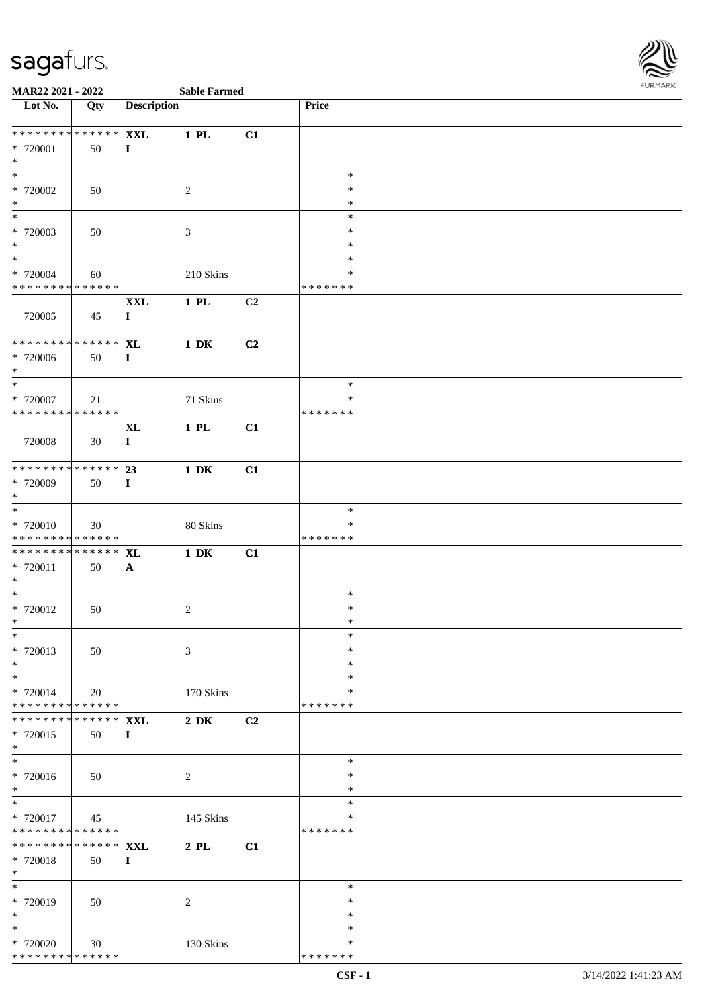

| Lot No.                                   | Qty           | <b>Description</b> |                  |    | Price              |  |
|-------------------------------------------|---------------|--------------------|------------------|----|--------------------|--|
| **************                            |               | <b>XXL</b>         | $1$ PL           | C1 |                    |  |
| * 720001                                  | 50            | $\bf{I}$           |                  |    |                    |  |
| $\ast$                                    |               |                    |                  |    |                    |  |
| $\ast$                                    |               |                    |                  |    | $\ast$             |  |
| * 720002                                  | 50            |                    | $\sqrt{2}$       |    | $\ast$             |  |
| $*$                                       |               |                    |                  |    | $\ast$             |  |
| $\overline{\phantom{0}}$                  |               |                    |                  |    | $\ast$             |  |
| $* 720003$                                | 50            |                    | $\mathfrak{Z}$   |    | $\ast$             |  |
| $*$                                       |               |                    |                  |    | $\ast$             |  |
| $*$                                       |               |                    |                  |    | $\ast$             |  |
| * 720004                                  | 60            |                    | $210~\rm{Skins}$ |    | $\ast$             |  |
| * * * * * * * * * * * * * *               |               |                    |                  |    | * * * * * * *      |  |
| 720005                                    | 45            | $\mathbf{XXL}$     | $1$ PL           | C2 |                    |  |
|                                           |               | $\mathbf{I}$       |                  |    |                    |  |
| ******** <mark>******</mark>              |               | <b>XL</b>          | $1\,$ DK         | C2 |                    |  |
| * 720006                                  | 50            | $\mathbf{I}$       |                  |    |                    |  |
| $*$                                       |               |                    |                  |    |                    |  |
| $*$                                       |               |                    |                  |    | $\ast$             |  |
| $*$ 720007                                | 21            |                    | 71 Skins         |    | $\ast$             |  |
| * * * * * * * * * * * * * *               |               |                    |                  |    | * * * * * * *      |  |
|                                           |               | $\bold{X}\bold{L}$ | $1$ PL           | C1 |                    |  |
| 720008                                    | 30            | $\mathbf I$        |                  |    |                    |  |
|                                           |               |                    |                  |    |                    |  |
| ******** <mark>******</mark>              |               | 23                 | $1\ \mathrm{DK}$ | C1 |                    |  |
| $*720009$                                 | 50            | $\mathbf{I}$       |                  |    |                    |  |
| $*$<br>$\ast$                             |               |                    |                  |    | $\ast$             |  |
| * 720010                                  | 30            |                    | 80 Skins         |    | *                  |  |
| * * * * * * * * * * * * * *               |               |                    |                  |    | * * * * * * *      |  |
| * * * * * * * * * * * * * * *             |               | <b>XL</b>          | $1\,$ DK         | C1 |                    |  |
| $* 720011$                                | 50            | $\mathbf{A}$       |                  |    |                    |  |
| $\ast$                                    |               |                    |                  |    |                    |  |
| $*$                                       |               |                    |                  |    | $\ast$             |  |
| $* 720012$                                | 50            |                    | $\sqrt{2}$       |    | $\ast$             |  |
| $*$                                       |               |                    |                  |    | $\ast$             |  |
| $*$                                       |               |                    |                  |    | $\ast$             |  |
| * 720013                                  | 50            |                    | 3                |    | $\ast$             |  |
| $\ast$                                    |               |                    |                  |    | *                  |  |
| $\ast$                                    |               |                    |                  |    | $\ast$             |  |
| * 720014<br>* * * * * * * * * * * * * * * | 20            |                    | 170 Skins        |    | ∗<br>* * * * * * * |  |
| * * * * * * * *                           | * * * * * * * | <b>XXL</b>         | $2\,$ DK         | C2 |                    |  |
| * 720015                                  | 50            | $\mathbf{I}$       |                  |    |                    |  |
| $*$                                       |               |                    |                  |    |                    |  |
| $\ast$                                    |               |                    |                  |    | $\ast$             |  |
| * 720016                                  | 50            |                    | $\overline{2}$   |    | $\ast$             |  |
| $\ast$                                    |               |                    |                  |    | $\ast$             |  |
| $\ast$                                    |               |                    |                  |    | $\ast$             |  |
| * 720017                                  | 45            |                    | 145 Skins        |    | *                  |  |
| * * * * * * * * * * * * * * *             |               |                    |                  |    | * * * * * * *      |  |
| * * * * * * * *                           | * * * * * * * | <b>XXL</b>         | $2$ PL           | C1 |                    |  |
| * 720018                                  | 50            | $\mathbf{I}$       |                  |    |                    |  |
| $*$<br>$\overline{\phantom{0}}$           |               |                    |                  |    | $\ast$             |  |
|                                           |               |                    |                  |    | $\ast$             |  |
| * 720019<br>$*$                           | 50            |                    | $\sqrt{2}$       |    | $\ast$             |  |
| $\ast$                                    |               |                    |                  |    | $\ast$             |  |
| * 720020                                  | 30            |                    | 130 Skins        |    | *                  |  |
| ******** <mark>******</mark>              |               |                    |                  |    | * * * * * * *      |  |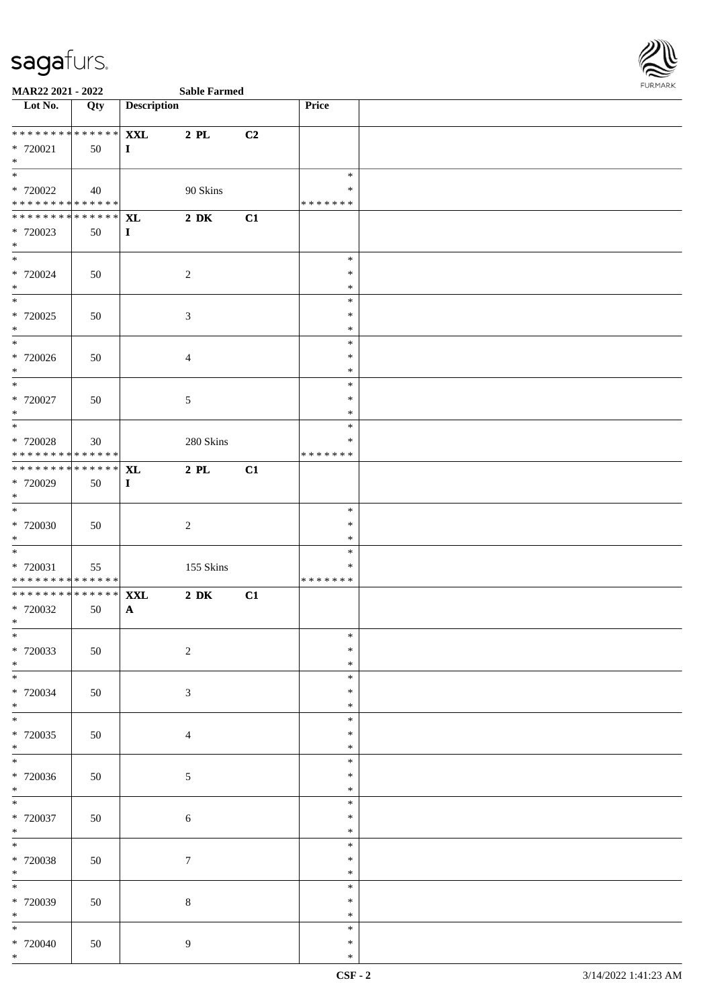

| <b>Sable Farm</b> |  |
|-------------------|--|

| Lot No.                                                                | Qty | <b>Description</b>         |                  |    | <b>Price</b>     |  |
|------------------------------------------------------------------------|-----|----------------------------|------------------|----|------------------|--|
|                                                                        |     |                            |                  |    |                  |  |
| * 720021                                                               | 50  | <b>XXL</b><br>$\mathbf{I}$ | $2$ PL           | C2 |                  |  |
| $*$                                                                    |     |                            |                  |    |                  |  |
|                                                                        |     |                            |                  |    | $\ast$           |  |
| * 720022                                                               | 40  |                            | 90 Skins         |    | $\ast$           |  |
| * * * * * * * * <mark>* * * * * * *</mark><br>************** <b>XL</b> |     |                            | $2\ \mathrm{DK}$ | C1 | * * * * * * *    |  |
| * 720023                                                               | 50  | $\bf{I}$                   |                  |    |                  |  |
| $*$                                                                    |     |                            |                  |    |                  |  |
| $*$                                                                    |     |                            |                  |    | $\ast$           |  |
| * 720024<br>$*$                                                        | 50  |                            | 2                |    | $\ast$<br>$\ast$ |  |
|                                                                        |     |                            |                  |    | $\ast$           |  |
| * 720025                                                               | 50  |                            | 3                |    | $\ast$           |  |
| $*$                                                                    |     |                            |                  |    | $\ast$           |  |
| * 720026                                                               | 50  |                            | $\overline{4}$   |    | $\ast$<br>$\ast$ |  |
| $*$                                                                    |     |                            |                  |    | $\ast$           |  |
| $*$                                                                    |     |                            |                  |    | $\ast$           |  |
| * 720027                                                               | 50  |                            | $\mathfrak{S}$   |    | $\ast$           |  |
| $*$<br>$\overline{\ast}$                                               |     |                            |                  |    | $\ast$<br>$\ast$ |  |
| * 720028                                                               | 30  |                            | 280 Skins        |    | $\ast$           |  |
| * * * * * * * * <mark>* * * * * * *</mark>                             |     |                            |                  |    | * * * * * * *    |  |
| * * * * * * * * <mark>* * * * * * *</mark>                             |     | <b>XL</b>                  | $2$ PL           | C1 |                  |  |
| * 720029<br>$*$                                                        | 50  | $\mathbf{I}$               |                  |    |                  |  |
|                                                                        |     |                            |                  |    | $\ast$           |  |
| * 720030                                                               | 50  |                            | $\overline{2}$   |    | $\ast$           |  |
| $*$                                                                    |     |                            |                  |    | $\ast$           |  |
| $*$                                                                    |     |                            |                  |    | $\ast$<br>$\ast$ |  |
| * 720031<br>* * * * * * * * * * * * * * <mark>*</mark>                 | 55  |                            | 155 Skins        |    | * * * * * * *    |  |
| * * * * * * * * <mark>* * * * * * *</mark>                             |     | <b>XXL</b>                 | $2\ \mathrm{DK}$ | C1 |                  |  |
| * 720032                                                               | 50  | $\mathbf{A}$               |                  |    |                  |  |
| $*$<br>$\overline{\phantom{0}}$                                        |     |                            |                  |    | ∗                |  |
| * 720033                                                               | 50  |                            | $\sqrt{2}$       |    | $\ast$           |  |
| $*$                                                                    |     |                            |                  |    | $\ast$           |  |
|                                                                        |     |                            |                  |    | ∗                |  |
| * 720034<br>$*$                                                        | 50  |                            | $\mathfrak{Z}$   |    | $\ast$<br>$\ast$ |  |
| $*$                                                                    |     |                            |                  |    | $\ast$           |  |
| * 720035                                                               | 50  |                            | $\overline{4}$   |    | $\ast$           |  |
| $*$                                                                    |     |                            |                  |    | $\ast$           |  |
| $\overline{\ast}$<br>* 720036                                          |     |                            |                  |    | $\ast$<br>$\ast$ |  |
| $*$                                                                    | 50  |                            | 5                |    | $\ast$           |  |
| $*$                                                                    |     |                            |                  |    | $\ast$           |  |
| * 720037                                                               | 50  |                            | 6                |    | $\ast$           |  |
| $*$                                                                    |     |                            |                  |    | $\ast$<br>$\ast$ |  |
| * 720038                                                               | 50  |                            | $\boldsymbol{7}$ |    | $\ast$           |  |
| $*$                                                                    |     |                            |                  |    | $\ast$           |  |
|                                                                        |     |                            |                  |    | $\ast$           |  |
| * 720039<br>$*$                                                        | 50  |                            | $8\,$            |    | $\ast$<br>$\ast$ |  |
| $\ast$                                                                 |     |                            |                  |    | $\ast$           |  |
| $* 720040$                                                             | 50  |                            | 9                |    | $\ast$           |  |
| $*$                                                                    |     |                            |                  |    | $\ast$           |  |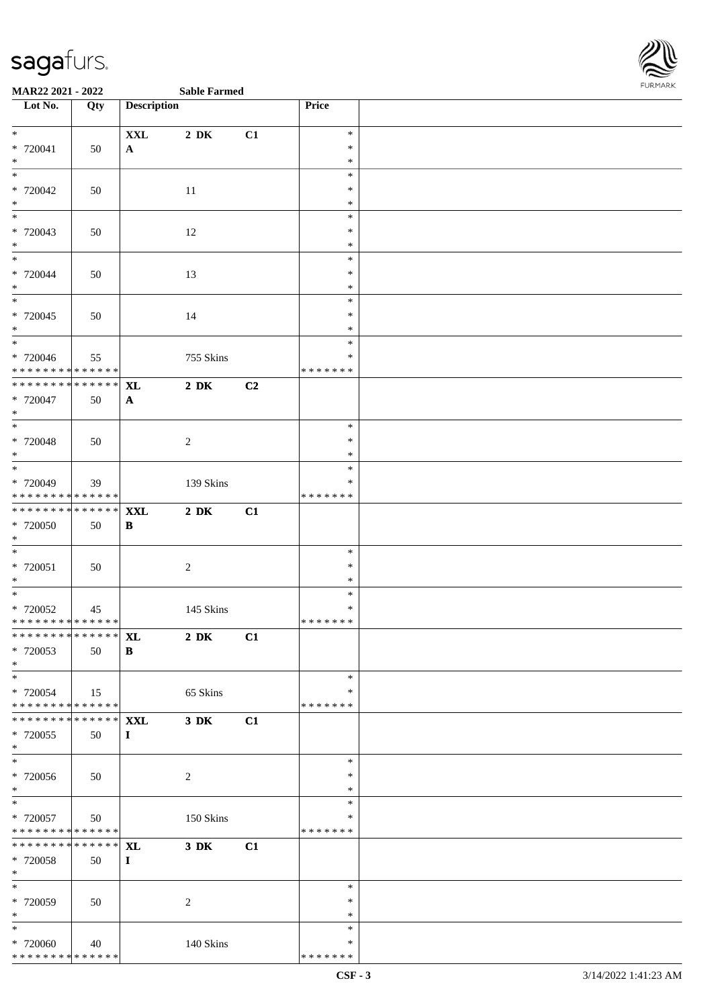

| Lot No.                                    | Qty | <b>Description</b> |                  |               | Price         |  |
|--------------------------------------------|-----|--------------------|------------------|---------------|---------------|--|
|                                            |     |                    |                  |               |               |  |
| $*$                                        |     | $\mathbf{XXL}$     | $2\,$ DK         | C1            | $\ast$        |  |
|                                            |     |                    |                  |               | $\ast$        |  |
| $* 720041$<br>$*$                          | 50  | $\mathbf{A}$       |                  |               | $\ast$        |  |
|                                            |     |                    |                  |               |               |  |
|                                            |     |                    |                  |               | $\ast$        |  |
| * 720042                                   | 50  |                    | 11               |               | $\ast$        |  |
| $*$                                        |     |                    |                  |               | $\ast$        |  |
| $\overline{\phantom{0}}$                   |     |                    |                  |               | $\ast$        |  |
| * 720043                                   | 50  |                    | 12               |               | $\ast$        |  |
| $*$                                        |     |                    |                  |               | $\ast$        |  |
| $*$                                        |     |                    |                  |               | $\ast$        |  |
| * 720044                                   | 50  |                    | 13               |               | $\ast$        |  |
| $*$                                        |     |                    |                  |               | $\ast$        |  |
|                                            |     |                    |                  |               | $\ast$        |  |
| * 720045                                   | 50  |                    | 14               |               | $\ast$        |  |
| $*$                                        |     |                    |                  |               | $\ast$        |  |
|                                            |     |                    |                  |               | $\ast$        |  |
| * 720046                                   |     |                    |                  |               | $\ast$        |  |
| * * * * * * * * <mark>* * * * * * *</mark> | 55  |                    | 755 Skins        |               | * * * * * * * |  |
| **************                             |     |                    |                  |               |               |  |
|                                            |     | <b>XL</b>          | $2\ \mathrm{DK}$ | C2            |               |  |
| * 720047                                   | 50  | $\mathbf{A}$       |                  |               |               |  |
| $*$                                        |     |                    |                  |               |               |  |
|                                            |     |                    |                  |               | $\ast$        |  |
| * 720048                                   | 50  |                    | $\sqrt{2}$       |               | $\ast$        |  |
| $*$                                        |     |                    |                  |               | $\ast$        |  |
|                                            |     |                    |                  |               | $\ast$        |  |
| * 720049                                   | 39  |                    | 139 Skins        |               | $\ast$        |  |
| * * * * * * * * <mark>* * * * * * *</mark> |     |                    |                  |               | * * * * * * * |  |
| **************                             |     | <b>XXL</b>         | $2\,$ DK         | C1            |               |  |
| * 720050                                   | 50  | B                  |                  |               |               |  |
| $*$                                        |     |                    |                  |               |               |  |
|                                            |     |                    |                  |               | $\ast$        |  |
| $* 720051$                                 |     |                    |                  |               | $\ast$        |  |
|                                            | 50  |                    | $\sqrt{2}$       |               | $\ast$        |  |
| $*$<br>$\overline{\phantom{0}}$            |     |                    |                  |               |               |  |
|                                            |     |                    |                  |               | $\ast$        |  |
| * 720052                                   | 45  |                    | 145 Skins        |               | $\ast$        |  |
| * * * * * * * * <mark>* * * * * * *</mark> |     |                    |                  |               | * * * * * * * |  |
|                                            |     |                    | $2\,$ DK         | $\mathbf{C1}$ |               |  |
| * 720053                                   | 50  | B                  |                  |               |               |  |
| $*$                                        |     |                    |                  |               |               |  |
|                                            |     |                    |                  |               | $\ast$        |  |
| * 720054                                   | 15  |                    | 65 Skins         |               | $\ast$        |  |
| * * * * * * * * <mark>* * * * * * *</mark> |     |                    |                  |               | * * * * * * * |  |
| * * * * * * * * * * * * * * <mark>*</mark> |     | <b>XXL</b>         | 3 DK             | C1            |               |  |
| * 720055                                   | 50  | $\bf{I}$           |                  |               |               |  |
| $*$                                        |     |                    |                  |               |               |  |
|                                            |     |                    |                  |               | $\ast$        |  |
| * 720056                                   | 50  |                    | 2                |               | ∗             |  |
| $*$                                        |     |                    |                  |               | $\ast$        |  |
|                                            |     |                    |                  |               | $\ast$        |  |
|                                            |     |                    |                  |               |               |  |
| $*720057$                                  | 50  |                    | 150 Skins        |               | *             |  |
| * * * * * * * * * * * * * * *              |     |                    |                  |               | * * * * * * * |  |
| * * * * * * * * <mark>* * * * * * *</mark> |     | <b>XL</b>          | $3\,$ DK         | C1            |               |  |
| * 720058                                   | 50  | $\bf{I}$           |                  |               |               |  |
| $*$                                        |     |                    |                  |               |               |  |
| $\overline{\phantom{0}}$                   |     |                    |                  |               | $\ast$        |  |
| * 720059                                   | 50  |                    | 2                |               | $\ast$        |  |
| $*$                                        |     |                    |                  |               | $\ast$        |  |
| $*$                                        |     |                    |                  |               | $\ast$        |  |
| * 720060                                   | 40  |                    | 140 Skins        |               | *             |  |
| * * * * * * * * <mark>* * * * * * *</mark> |     |                    |                  |               | * * * * * * * |  |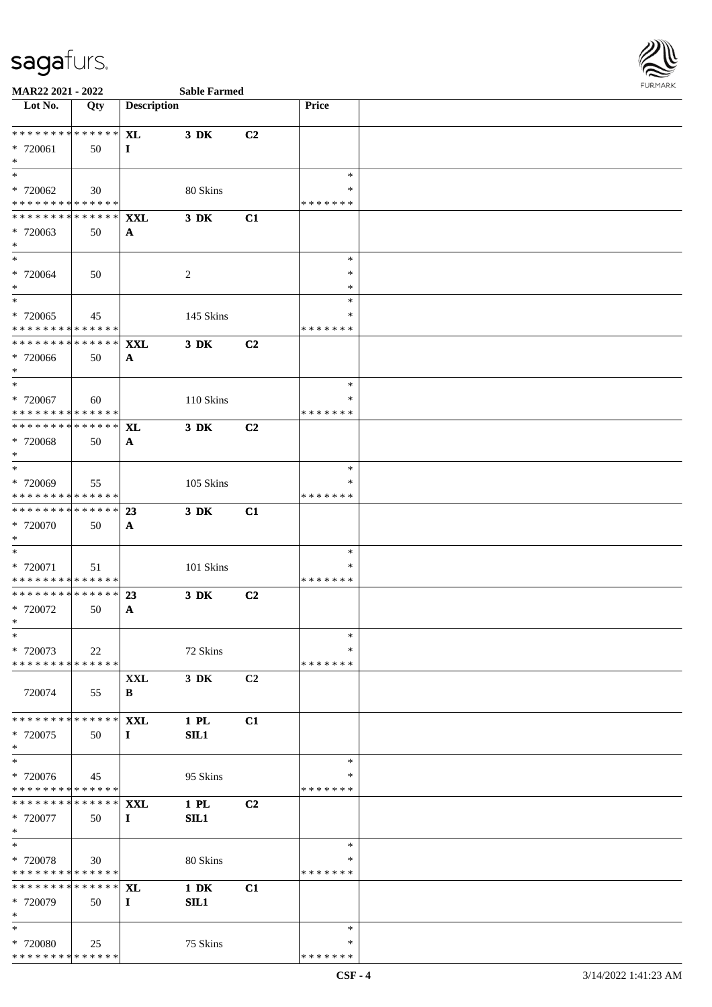

|  | Sable Farmed |  |
|--|--------------|--|

| Lot No.                                                                     | Qty | <b>Description</b>         |                  |                | Price              |  |
|-----------------------------------------------------------------------------|-----|----------------------------|------------------|----------------|--------------------|--|
| ******** <mark>******</mark>                                                |     | $\mathbf{XL}$              | 3 DK             | C2             |                    |  |
| * 720061                                                                    | 50  | $\bf{I}$                   |                  |                |                    |  |
| $*$                                                                         |     |                            |                  |                |                    |  |
|                                                                             |     |                            |                  |                | $\ast$             |  |
| * 720062<br>* * * * * * * * * * * * * *                                     | 30  |                            | 80 Skins         |                | ∗<br>* * * * * * * |  |
| ******** <mark>******</mark>                                                |     | <b>XXL</b>                 | 3 DK             | C1             |                    |  |
| * 720063                                                                    | 50  | $\mathbf{A}$               |                  |                |                    |  |
| $*$                                                                         |     |                            |                  |                |                    |  |
| $*$                                                                         |     |                            |                  |                | $\ast$<br>∗        |  |
| * 720064<br>$*$                                                             | 50  |                            | 2                |                | ∗                  |  |
| $\overline{\ }$                                                             |     |                            |                  |                | $\ast$             |  |
| * 720065                                                                    | 45  |                            | 145 Skins        |                | ∗                  |  |
| * * * * * * * * * * * * * *                                                 |     |                            |                  |                | * * * * * * *      |  |
| * * * * * * * * * * * * * * *<br>* 720066                                   | 50  | <b>XXL</b><br>$\mathbf{A}$ | 3 DK             | C2             |                    |  |
| $*$                                                                         |     |                            |                  |                |                    |  |
| $\overline{\ast}$                                                           |     |                            |                  |                | $\ast$             |  |
| * 720067                                                                    | 60  |                            | 110 Skins        |                | ∗                  |  |
| * * * * * * * * * * * * * * *<br>* * * * * * * * <mark>* * * * * * *</mark> |     | <b>XL</b>                  | 3 DK             | C2             | * * * * * * *      |  |
| * 720068                                                                    | 50  | $\mathbf{A}$               |                  |                |                    |  |
| $*$                                                                         |     |                            |                  |                |                    |  |
| $*$                                                                         |     |                            |                  |                | ∗                  |  |
| * 720069<br>* * * * * * * * * * * * * *                                     | 55  |                            | 105 Skins        |                | ∗<br>* * * * * * * |  |
| * * * * * * * * <mark>* * * * * *</mark>                                    |     | 23                         | 3 DK             | C1             |                    |  |
| * 720070                                                                    | 50  | $\mathbf{A}$               |                  |                |                    |  |
| $*$                                                                         |     |                            |                  |                |                    |  |
| $\ast$                                                                      |     |                            |                  |                | $\ast$             |  |
| * 720071<br>* * * * * * * * <mark>* * * * * *</mark>                        | 51  |                            | 101 Skins        |                | ∗<br>* * * * * * * |  |
| ******** <mark>******</mark>                                                |     | 23                         | 3 DK             | C2             |                    |  |
| * 720072                                                                    | 50  | $\mathbf{A}$               |                  |                |                    |  |
| $\ast$                                                                      |     |                            |                  |                |                    |  |
| $*$<br>* 720073                                                             | 22  |                            | 72 Skins         |                | $\ast$<br>∗        |  |
| * * * * * * * * <mark>* * * * * *</mark>                                    |     |                            |                  |                | * * * * * * *      |  |
|                                                                             |     | XXL                        | 3 DK             | C2             |                    |  |
| 720074                                                                      | 55  | B                          |                  |                |                    |  |
| * * * * * * * * * * * * * * *                                               |     | <b>XXL</b>                 | 1 PL             | C1             |                    |  |
| * 720075                                                                    | 50  | $\bf{I}$                   | SL1              |                |                    |  |
| $*$                                                                         |     |                            |                  |                |                    |  |
| $*$                                                                         |     |                            |                  |                | $\ast$             |  |
| * 720076<br>* * * * * * * * <mark>* * * * * * *</mark>                      | 45  |                            | 95 Skins         |                | ∗<br>* * * * * * * |  |
| * * * * * * * * * * * * * * *                                               |     | <b>XXL</b>                 | 1 PL             | C <sub>2</sub> |                    |  |
| * 720077                                                                    | 50  | $\bf{I}$                   | SIL1             |                |                    |  |
| $\ast$                                                                      |     |                            |                  |                |                    |  |
| $*$                                                                         |     |                            |                  |                | $\ast$             |  |
| * 720078<br>* * * * * * * * * * * * * *                                     | 30  |                            | 80 Skins         |                | ∗<br>*******       |  |
| * * * * * * * * * * * * * * <mark>*</mark>                                  |     | <b>XL</b>                  | $1\ \mathrm{DK}$ | C1             |                    |  |
| * 720079                                                                    | 50  | $\bf{I}$                   | SL1              |                |                    |  |
| $*$                                                                         |     |                            |                  |                |                    |  |
| $\ast$<br>* 720080                                                          | 25  |                            | 75 Skins         |                | $\ast$<br>∗        |  |
| * * * * * * * * * * * * * *                                                 |     |                            |                  |                | * * * * * * *      |  |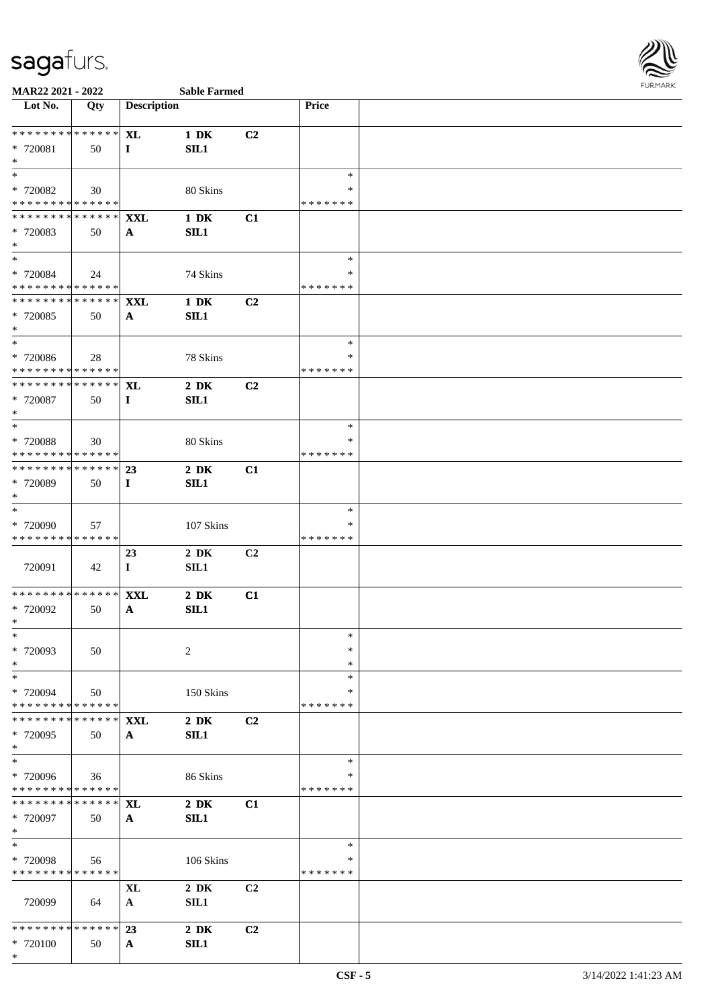

| Lot No.                                                            | Qty  | <b>Description</b>         |                          |                | <b>Price</b>                 |  |
|--------------------------------------------------------------------|------|----------------------------|--------------------------|----------------|------------------------------|--|
| ******** <mark>******</mark><br>* 720081<br>$\ast$                 | 50   | <b>XL</b><br>$\mathbf{I}$  | $1\ \mathrm{DK}$<br>SL1  | C <sub>2</sub> |                              |  |
| $\ast$<br>* 720082<br>* * * * * * * * <mark>* * * * * * *</mark>   | 30   |                            | 80 Skins                 |                | $\ast$<br>∗<br>* * * * * * * |  |
| ******** <mark>******</mark> <b>xxl</b><br>* 720083<br>$\ast$      | 50   | $\mathbf{A}$               | $1\ \mathrm{DK}$<br>SL1  | C1             |                              |  |
| $\ddot{x}$<br>* 720084<br>* * * * * * * * <mark>* * * * * *</mark> | 24   |                            | 74 Skins                 |                | $\ast$<br>∗<br>* * * * * * * |  |
| * * * * * * * * <mark>* * * * * * *</mark><br>* 720085<br>$\ast$   | 50   | <b>XXL</b><br>$\mathbf{A}$ | $1\ \mathrm{DK}$<br>SIL1 | C2             |                              |  |
| $*$<br>* 720086<br>* * * * * * * * * * * * * * <mark>*</mark>      | 28   |                            | 78 Skins                 |                | $\ast$<br>*<br>* * * * * * * |  |
| ******** <mark>******</mark><br>* 720087<br>$*$                    | 50   | <b>XL</b><br>$\bf{I}$      | $2\,$ DK<br>SL1          | C <sub>2</sub> |                              |  |
| * 720088<br>* * * * * * * * <mark>* * * * * * *</mark>             | 30   |                            | 80 Skins                 |                | $\ast$<br>* * * * * * *      |  |
| ************** 23<br>* 720089<br>$\ast$                            | 50   | $\bf{I}$                   | $2\,$ DK<br>SL1          | C1             |                              |  |
| $\ast$<br>* 720090<br>* * * * * * * * <mark>* * * * * *</mark>     | 57   |                            | 107 Skins                |                | $\ast$<br>∗<br>* * * * * * * |  |
| 720091                                                             | 42   | 23<br>$\mathbf{I}$         | $2\,$ DK<br>SIL1         | C <sub>2</sub> |                              |  |
| ******** <mark>******</mark> <b>XXL</b><br>* 720092<br>$\ast$      | 50   | $\mathbf{A}$               | $2\,$ DK<br>SL1          | C1             |                              |  |
| $\ast$<br>* 720093<br>$\ast$                                       | 50   |                            | 2                        |                | $\ast$<br>∗<br>∗             |  |
| $\ast$<br>* 720094<br>* * * * * * * * <mark>* * * * * * *</mark>   | 50   |                            | 150 Skins                |                | $\ast$<br>*<br>* * * * * * * |  |
| ************** <b>XXL</b><br>* 720095<br>$\ast$                    | 50   | $\mathbf{A}$               | $2\,$ DK<br>SL1          | C <sub>2</sub> |                              |  |
| $\ast$<br>* 720096<br>* * * * * * * * <mark>* * * * * * *</mark>   | 36   |                            | 86 Skins                 |                | $\ast$<br>∗<br>*******       |  |
| * 720097<br>$\ddot{x}$                                             | 50   | ${\bf A}$                  | $2\,$ DK<br>SIL1         | C1             |                              |  |
| $\ast$<br>* 720098<br>* * * * * * * * <mark>* * * * * * *</mark>   | 56   |                            | 106 Skins                |                | $\ast$<br>*<br>* * * * * * * |  |
| 720099                                                             | - 64 | XL<br>${\bf A}$            | $2\,$ DK<br>SIL1         | C <sub>2</sub> |                              |  |
| * * * * * * * * * * * * * * <mark>*</mark><br>* 720100<br>$\ast$   | 50   | 23<br>${\bf A}$            | $2\,$ DK<br>SIL1         | C <sub>2</sub> |                              |  |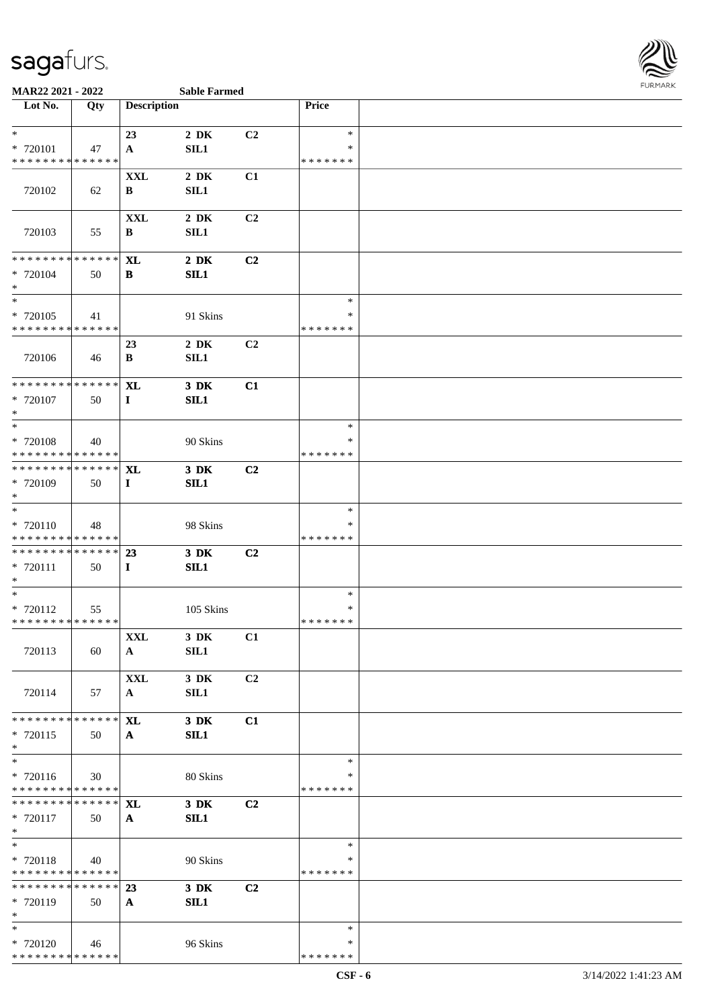

### **MAR22 2021 - 2022 Sable Farmed**

| <b>Sable Farmed</b> |  |
|---------------------|--|

| Lot No.                                 | Qty         | <b>Description</b> |           |                | Price            |  |
|-----------------------------------------|-------------|--------------------|-----------|----------------|------------------|--|
|                                         |             |                    |           |                |                  |  |
| $*$                                     |             | 23                 | $2\,$ DK  | C2             | $\ast$           |  |
| * 720101                                | 47          | A                  | SL1       |                | ∗                |  |
| * * * * * * * * * * * * * *             |             |                    |           |                | * * * * * * *    |  |
|                                         |             | <b>XXL</b>         | $2\,$ DK  | C1             |                  |  |
| 720102                                  | 62          | B                  | SL1       |                |                  |  |
|                                         |             | $\mathbf{XXL}$     | $2\,$ DK  | C2             |                  |  |
| 720103                                  | 55          | B                  | SL1       |                |                  |  |
|                                         |             |                    |           |                |                  |  |
| * * * * * * * * * * * * * *             |             | <b>XL</b>          | $2\,$ DK  | C2             |                  |  |
| * 720104                                | 50          | В                  | SL1       |                |                  |  |
| $*$                                     |             |                    |           |                |                  |  |
| $\overline{\ast}$                       |             |                    |           |                | $\ast$           |  |
| * 720105                                | 41          |                    | 91 Skins  |                | ∗                |  |
| * * * * * * * * * * * * * *             |             |                    |           |                | * * * * * * *    |  |
| 720106                                  |             | 23                 | $2\,$ DK  | C2             |                  |  |
|                                         | 46          | B                  | SIL1      |                |                  |  |
| * * * * * * * * * * * * * *             |             | <b>XL</b>          | $3$ DK    | C1             |                  |  |
| * 720107                                | 50          | $\mathbf{I}$       | SL1       |                |                  |  |
| $*$                                     |             |                    |           |                |                  |  |
| $\overline{\phantom{0}}$                |             |                    |           |                | $\ast$           |  |
| * 720108                                | 40          |                    | 90 Skins  |                | *                |  |
| * * * * * * * * * * * * * *             |             |                    |           |                | * * * * * * *    |  |
| ******** <mark>******</mark>            |             | <b>XL</b>          | $3\,$ DK  | C2             |                  |  |
| * 720109<br>$*$                         | 50          | $\bf{I}$           | SL1       |                |                  |  |
| $*$                                     |             |                    |           |                | $\ast$           |  |
| * 720110                                | 48          |                    | 98 Skins  |                | $\ast$           |  |
| * * * * * * * * * * * * * *             |             |                    |           |                | * * * * * * *    |  |
| * * * * * * * * * * * * * *             |             | 23                 | 3 DK      | C2             |                  |  |
| * 720111                                | 50          | $\mathbf I$        | SL1       |                |                  |  |
| $*$                                     |             |                    |           |                |                  |  |
| $*$<br>* 720112                         |             |                    | 105 Skins |                | $\ast$<br>$\ast$ |  |
| * * * * * * * * * * * * * *             | 55          |                    |           |                | * * * * * * *    |  |
|                                         |             | XXL                | 3 DK      | C1             |                  |  |
| 720113                                  | 60          | $\mathbf{A}$       | SIL1      |                |                  |  |
|                                         |             |                    |           |                |                  |  |
|                                         |             | <b>XXL</b>         | 3 DK      | C2             |                  |  |
| 720114                                  | 57          | $\mathbf{A}$       | SIL1      |                |                  |  |
| * * * * * * * * * * * * * *             |             |                    |           |                |                  |  |
|                                         |             | <b>XL</b>          | $3\,$ DK  | C1             |                  |  |
| $* 720115$<br>$*$                       | 50          | $\mathbf{A}$       | SL1       |                |                  |  |
| $*$                                     |             |                    |           |                | $\ast$           |  |
| $* 720116$                              | 30          |                    | 80 Skins  |                | ∗                |  |
| * * * * * * * * * * * * * *             |             |                    |           |                | * * * * * * *    |  |
| * * * * * * * *                         | * * * * * * | <b>XL</b>          | 3 DK      | C2             |                  |  |
| * 720117                                | 50          | $\mathbf{A}$       | SL1       |                |                  |  |
| $*$                                     |             |                    |           |                |                  |  |
| $*$                                     |             |                    |           |                | $\ast$<br>∗      |  |
| * 720118<br>* * * * * * * * * * * * * * | 40          |                    | 90 Skins  |                | * * * * * * *    |  |
| * * * * * * * * * * * * * * *           |             | 23                 | $3\,$ DK  | C <sub>2</sub> |                  |  |
| * 720119                                | 50          | $\mathbf{A}$       | SIL1      |                |                  |  |
| $*$                                     |             |                    |           |                |                  |  |
| $*$                                     |             |                    |           |                | $\ast$           |  |
| * 720120                                | 46          |                    | 96 Skins  |                | *                |  |
| * * * * * * * * * * * * * *             |             |                    |           |                | * * * * * * *    |  |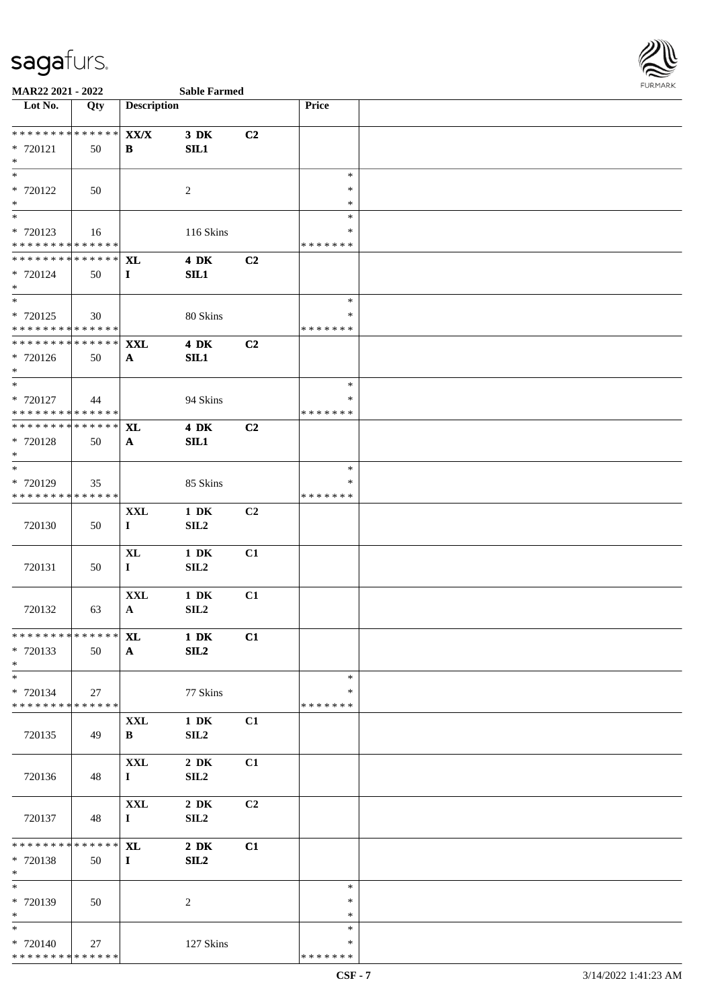

| Lot No.                                                             | Qty               | <b>Description</b>            |                          |    | Price                             |  |
|---------------------------------------------------------------------|-------------------|-------------------------------|--------------------------|----|-----------------------------------|--|
| * * * * * * * *<br>* 720121<br>$\ast$                               | * * * * * *<br>50 | $\mathbf{XX}/\mathbf{X}$<br>B | $3\,$ DK<br>SL1          | C2 |                                   |  |
| $\overline{\ast}$<br>* 720122<br>$\ast$                             | 50                |                               | $\overline{2}$           |    | $\ast$<br>$\ast$<br>$\ast$        |  |
| $\ast$<br>* 720123<br>* * * * * * * * * * * * * *                   | 16                |                               | 116 Skins                |    | $\ast$<br>∗<br>* * * * * * *      |  |
| * * * * * * * * * * * * * *<br>* 720124<br>$*$                      | 50                | <b>XL</b><br>$\mathbf{I}$     | <b>4 DK</b><br>SIL1      | C2 |                                   |  |
| $\overline{\phantom{0}}$<br>* 720125<br>* * * * * * * * * * * * * * | 30                |                               | 80 Skins                 |    | $\ast$<br>∗<br>* * * * * * *      |  |
| * * * * * * * *<br>* 720126<br>$*$                                  | * * * * * *<br>50 | <b>XXL</b><br>$\mathbf{A}$    | <b>4 DK</b><br>SL1       | C2 |                                   |  |
| $*$<br>* 720127<br>* * * * * * * * * * * * * *                      | 44                |                               | 94 Skins                 |    | $\ast$<br>∗<br>* * * * * * *      |  |
| ********<br>* 720128<br>$\ast$                                      | * * * * * *<br>50 | XL<br>$\mathbf{A}$            | <b>4 DK</b><br>SL1       | C2 |                                   |  |
| $*$<br>* 720129<br>* * * * * * * * * * * * * *                      | 35                |                               | 85 Skins                 |    | $\ast$<br>∗<br>* * * * * * *      |  |
| 720130                                                              | 50                | <b>XXL</b><br>$\mathbf{I}$    | $1\,$ DK<br>SL2          | C2 |                                   |  |
| 720131                                                              | 50                | $\mathbf{XL}$<br>$\bf{I}$     | $1\,$ DK<br>SLL2         | C1 |                                   |  |
| 720132                                                              | 63                | <b>XXL</b><br>$\mathbf{A}$    | $1\ \mathrm{DK}$<br>SLL2 | C1 |                                   |  |
| *************** XL<br>* 720133<br>$\ast$                            | 50                | $\mathbf{A}$                  | 1 DK<br>SL2              | C1 |                                   |  |
| $\ast$<br>* 720134<br>* * * * * * * * * * * * * *                   | 27                |                               | 77 Skins                 |    | $\ast$<br>∗<br>* * * * * * *      |  |
| 720135                                                              | 49                | <b>XXL</b><br>B               | $1\,$ DK<br>SL2          | C1 |                                   |  |
| 720136                                                              | 48                | <b>XXL</b><br>$\bf{I}$        | $2\,$ DK<br>SL2          | C1 |                                   |  |
| 720137                                                              | 48                | $\mathbf{XXL}$<br>$\mathbf I$ | $2\,$ DK<br>SLL2         | C2 |                                   |  |
| * * * * * * * *<br>* 720138<br>$*$                                  | * * * * * *<br>50 | <b>XL</b><br>$\bf{I}$         | $2\,$ DK<br>SL2          | C1 |                                   |  |
| $\ast$<br>* 720139<br>$\ast$                                        | 50                |                               | $\sqrt{2}$               |    | $\ast$<br>$\ast$<br>$\ast$        |  |
| $\overline{\phantom{0}}$<br>* 720140<br>* * * * * * * * * * * * * * | 27                |                               | 127 Skins                |    | $\ast$<br>$\ast$<br>* * * * * * * |  |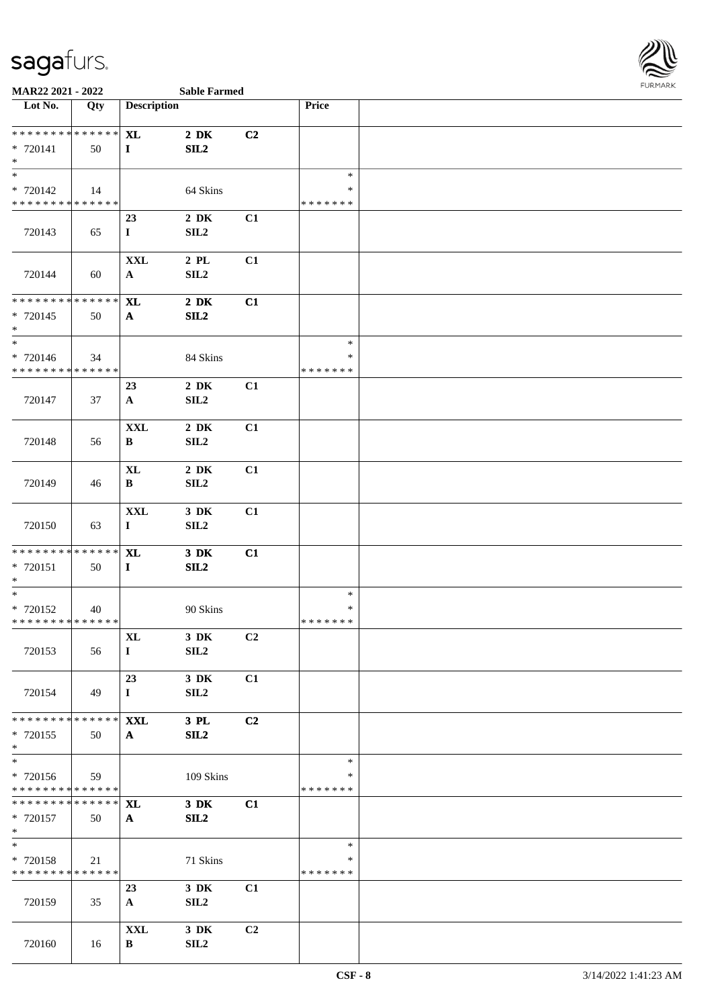

| Lot No.                                                               | Qty                 | <b>Description</b>             |                              |                | Price                             |  |
|-----------------------------------------------------------------------|---------------------|--------------------------------|------------------------------|----------------|-----------------------------------|--|
| ******** <mark>******</mark><br>* 720141<br>$*$                       | 50                  | <b>XL</b><br>$\mathbf{I}$      | $2\,$ DK<br>SL2              | C2             |                                   |  |
| $\ast$<br>$* 720142$<br>******** <mark>******</mark>                  | 14                  |                                | 64 Skins                     |                | $\ast$<br>$\ast$<br>* * * * * * * |  |
| 720143                                                                | 65                  | 23<br>$\mathbf I$              | $2\,$ DK<br>SLL2             | C1             |                                   |  |
| 720144                                                                | 60                  | <b>XXL</b><br>$\mathbf{A}$     | $2\,$ PL $\,$<br>SL2         | C1             |                                   |  |
| ******** <mark>******</mark><br>* 720145<br>$\ast$                    | 50                  | <b>XL</b><br>$\mathbf{A}$      | $2\,$ DK<br>SL2              | C1             |                                   |  |
| $\overline{\phantom{0}}$<br>$* 720146$<br>* * * * * * * * * * * * * * | 34                  |                                | 84 Skins                     |                | $\ast$<br>∗<br>* * * * * * *      |  |
| 720147                                                                | 37                  | 23<br>${\bf A}$                | $2\,$ DK<br>SLL2             | C1             |                                   |  |
| 720148                                                                | 56                  | $\mathbf{XXL}$<br>B            | $2\,$ DK<br>SLL2             | C1             |                                   |  |
| 720149                                                                | 46                  | $\bold{X}\bold{L}$<br>$\bf{B}$ | $2\,$ DK<br>SLL2             | C1             |                                   |  |
| 720150                                                                | 63                  | $\mathbf{XXL}$<br>$\mathbf{I}$ | $3\,$ DK<br>SL2              | C1             |                                   |  |
| ******** <mark>******</mark><br>* 720151<br>$\ast$                    | 50                  | <b>XL</b><br>$\mathbf{I}$      | $3\,$ DK<br>SL2              | C1             |                                   |  |
| $\ast$<br>* 720152<br>* * * * * * * * * * * * * *                     | 40                  |                                | 90 Skins                     |                | $\ast$<br>∗<br>* * * * * * *      |  |
| 720153                                                                | 56                  | $\mathbf{XL}$<br>$\bf{I}$      | $3\,$ DK<br>SIL <sub>2</sub> | C <sub>2</sub> |                                   |  |
| 720154                                                                | 49                  | 23<br>$\bf{I}$                 | 3 DK<br>SL2                  | C1             |                                   |  |
| * * * * * * * *<br>* 720155<br>$\ast$                                 | * * * * * *<br>50   | <b>XXL</b><br>$\mathbf{A}$     | 3 PL<br>SL2                  | C2             |                                   |  |
| $\ast$<br>* 720156<br>* * * * * * * * * * * * * *                     | 59                  |                                | 109 Skins                    |                | $\ast$<br>∗<br>* * * * * * *      |  |
| * * * * * * * *<br>* 720157<br>$*$                                    | * * * * * *  <br>50 | <b>XL</b><br>$\mathbf{A}$      | 3 DK<br>SL2                  | C1             |                                   |  |
| $\ast$<br>* 720158<br>* * * * * * * * * * * * * *                     | 21                  |                                | 71 Skins                     |                | $\ast$<br>∗<br>* * * * * * *      |  |
| 720159                                                                | 35                  | 23<br>$\mathbf{A}$             | $3\,$ DK<br>SL2              | C1             |                                   |  |
| 720160                                                                | 16                  | <b>XXL</b><br>B                | $3\,$ DK<br>SLL2             | C2             |                                   |  |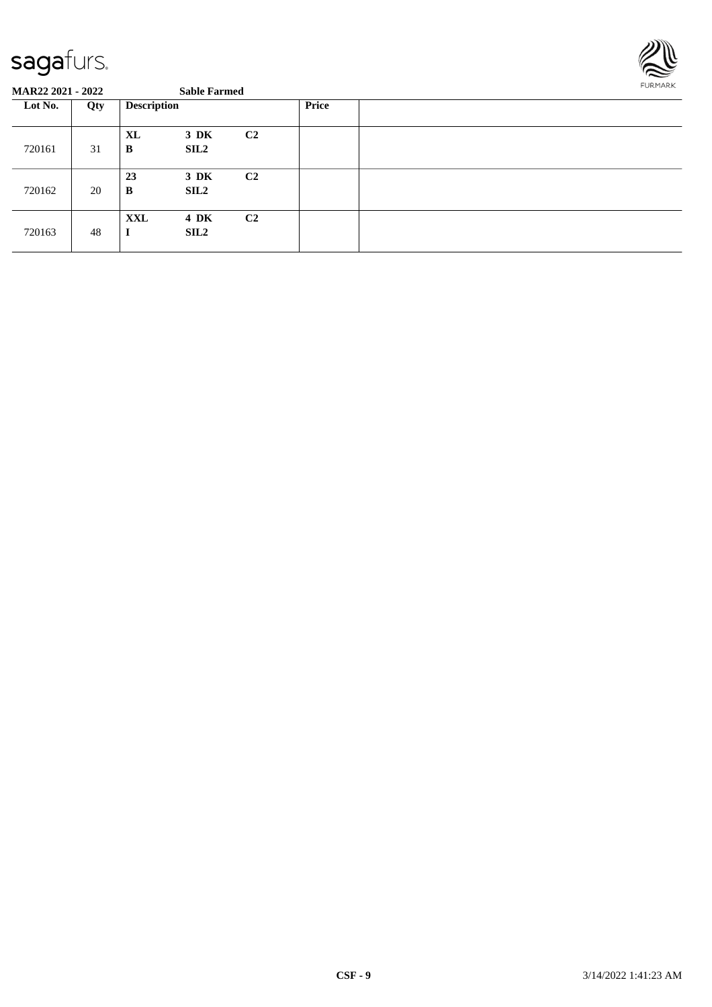

| Lot No. | Qty | <b>Description</b> |                 |                | <b>Price</b> |  |
|---------|-----|--------------------|-----------------|----------------|--------------|--|
| 720161  | 31  | XL<br>B            | $3\,$ DK<br>SL2 | C <sub>2</sub> |              |  |
| 720162  | 20  | 23<br>B            | $3\,$ DK<br>SL2 | C <sub>2</sub> |              |  |
| 720163  | 48  | <b>XXL</b><br>л    | 4 DK<br>SL2     | C <sub>2</sub> |              |  |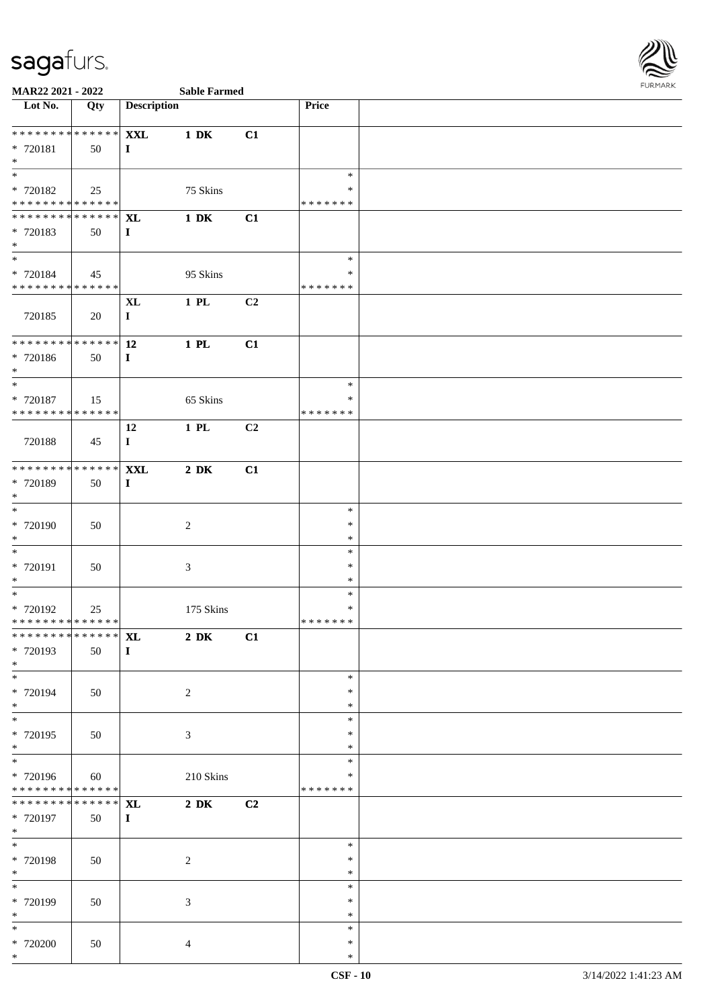

| Lot No.                                   | Qty               | <b>Description</b>        |                  |    | Price                   |  |
|-------------------------------------------|-------------------|---------------------------|------------------|----|-------------------------|--|
| * * * * * * * * * * * * * *               |                   | <b>XXL</b>                | $1\,$ DK         | C1 |                         |  |
| * 720181                                  | 50                | $\bf{I}$                  |                  |    |                         |  |
| $\ast$<br>$\overline{\phantom{0}}$        |                   |                           |                  |    |                         |  |
| * 720182                                  | 25                |                           | 75 Skins         |    | $\ast$<br>∗             |  |
| **************                            |                   |                           |                  |    | * * * * * * *           |  |
| ******** <mark>******</mark>              |                   | <b>XL</b>                 | $1\ \mathrm{DK}$ | C1 |                         |  |
| * 720183                                  | 50                | $\mathbf{I}$              |                  |    |                         |  |
| $\ast$<br>$\ast$                          |                   |                           |                  |    | $\ast$                  |  |
| * 720184                                  | 45                |                           | 95 Skins         |    | $\ast$                  |  |
| * * * * * * * * * * * * * *               |                   |                           |                  |    | * * * * * * *           |  |
|                                           |                   | $\mathbf{XL}$             | $1$ PL           | C2 |                         |  |
| 720185                                    | 20                | $\bf{I}$                  |                  |    |                         |  |
| ******** <mark>******</mark>              |                   | 12                        | $1$ PL           | C1 |                         |  |
| * 720186                                  | 50                | $\mathbf I$               |                  |    |                         |  |
| $\ast$                                    |                   |                           |                  |    |                         |  |
| $\ast$                                    |                   |                           |                  |    | $\ast$                  |  |
| $* 720187$<br>* * * * * * * * * * * * * * | 15                |                           | 65 Skins         |    | $\ast$<br>* * * * * * * |  |
|                                           |                   | 12                        | $1$ PL           | C2 |                         |  |
| 720188                                    | 45                | $\mathbf I$               |                  |    |                         |  |
|                                           |                   |                           |                  |    |                         |  |
| ******** <mark>******</mark>              |                   | <b>XXL</b>                | $2\ \mathrm{DK}$ | C1 |                         |  |
| * 720189<br>$\ast$                        | 50                | $\mathbf{I}$              |                  |    |                         |  |
| $*$                                       |                   |                           |                  |    | $\ast$                  |  |
| * 720190                                  | 50                |                           | $\sqrt{2}$       |    | $\ast$                  |  |
| $\ast$                                    |                   |                           |                  |    | $\ast$                  |  |
| $\ast$                                    |                   |                           |                  |    | $\ast$                  |  |
| * 720191<br>$*$                           | 50                |                           | $\mathfrak{Z}$   |    | $\ast$<br>$\ast$        |  |
| $\overline{\phantom{0}}$                  |                   |                           |                  |    | $\ast$                  |  |
| * 720192                                  | 25                |                           | 175 Skins        |    | $\ast$                  |  |
| * * * * * * * * * * * * * * *             |                   |                           |                  |    | * * * * * * *           |  |
| ******** <mark>******</mark> XL           |                   |                           | $2\ \mathrm{DK}$ | C1 |                         |  |
| * 720193<br>$\ast$                        | 50                | $\mathbf{I}$              |                  |    |                         |  |
| $_{\ast}^{-}$                             |                   |                           |                  |    | $\ast$                  |  |
| * 720194                                  | 50                |                           | $\overline{c}$   |    | $\ast$                  |  |
| $*$                                       |                   |                           |                  |    | $\ast$                  |  |
| $\ast$<br>* 720195                        |                   |                           |                  |    | $\ast$<br>$\ast$        |  |
| $\ast$                                    | 50                |                           | $\mathfrak{Z}$   |    | $\ast$                  |  |
| $\ast$                                    |                   |                           |                  |    | $\ast$                  |  |
| * 720196                                  | 60                |                           | 210 Skins        |    | ∗                       |  |
| * * * * * * * * * * * * * *               |                   |                           |                  |    | * * * * * * *           |  |
| * * * * * * * *<br>* 720197               | * * * * * *<br>50 | <b>XL</b><br>$\mathbf{I}$ | $2\ \mathrm{DK}$ | C2 |                         |  |
| $*$                                       |                   |                           |                  |    |                         |  |
| $\overline{\ }$                           |                   |                           |                  |    | $\ast$                  |  |
| * 720198                                  | 50                |                           | $\sqrt{2}$       |    | $\ast$                  |  |
| $*$<br>$\ast$                             |                   |                           |                  |    | $\ast$                  |  |
| * 720199                                  | 50                |                           | $\mathfrak{Z}$   |    | $\ast$<br>$\ast$        |  |
| $\ast$                                    |                   |                           |                  |    | $\ast$                  |  |
| $*$                                       |                   |                           |                  |    | $\ast$                  |  |
| $*$ 720200                                | 50                |                           | $\overline{4}$   |    | $\ast$                  |  |
| $*$                                       |                   |                           |                  |    | $\ast$                  |  |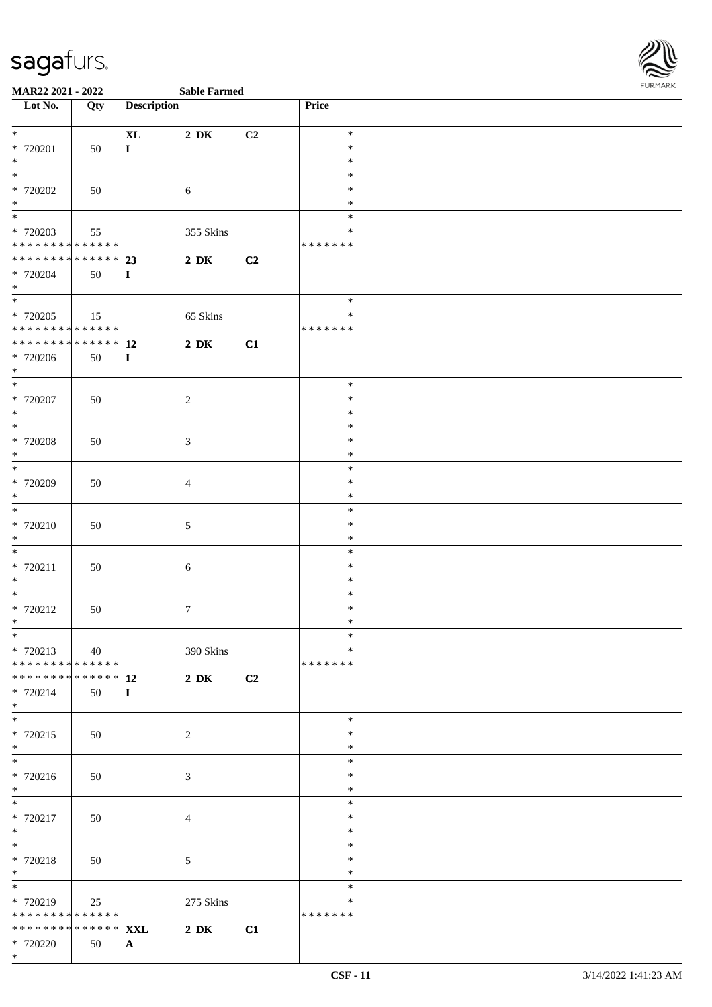

|  | <b>Sable Farme</b> |
|--|--------------------|

| Lot No.                                    | Qty                                       | <b>Description</b> |                  |                | Price                   |  |
|--------------------------------------------|-------------------------------------------|--------------------|------------------|----------------|-------------------------|--|
| $*$                                        |                                           | $\bold{X}\bold{L}$ | $2\ \mathrm{DK}$ | C2             | $\ast$                  |  |
| * 720201                                   | 50                                        | $\mathbf{I}$       |                  |                | $\ast$                  |  |
| $\ast$<br>$\overline{\phantom{0}}$         |                                           |                    |                  |                | $\ast$<br>$\ast$        |  |
| * 720202                                   | 50                                        |                    | $\sqrt{6}$       |                | $\ast$                  |  |
| $*$                                        |                                           |                    |                  |                | $\ast$                  |  |
| $\overline{\phantom{0}}$                   |                                           |                    |                  |                | $\ast$                  |  |
| $* 720203$<br>******** <mark>******</mark> | 55                                        |                    | 355 Skins        |                | $\ast$<br>* * * * * * * |  |
| ******** <mark>******</mark>               |                                           | 23                 | $2\,$ DK         | C <sub>2</sub> |                         |  |
| * 720204                                   | 50                                        | $\mathbf{I}$       |                  |                |                         |  |
| $*$<br>$\overline{\phantom{0}}$            |                                           |                    |                  |                |                         |  |
| * 720205                                   | 15                                        |                    |                  |                | $\ast$<br>$\ast$        |  |
| ******** <mark>******</mark>               |                                           |                    | 65 Skins         |                | * * * * * * *           |  |
| ******** <mark>******</mark>               |                                           | <b>12</b>          | $2\ \mathrm{DK}$ | C1             |                         |  |
| * 720206                                   | 50                                        | $\mathbf I$        |                  |                |                         |  |
| $*$                                        |                                           |                    |                  |                | $\ast$                  |  |
| $*$ 720207                                 | 50                                        |                    | $\sqrt{2}$       |                | $\ast$                  |  |
| $*$                                        |                                           |                    |                  |                | $\ast$                  |  |
| $\overline{\phantom{0}}$                   |                                           |                    |                  |                | $\ast$                  |  |
| $*$ 720208<br>$\ast$                       | 50                                        |                    | $\mathfrak{Z}$   |                | $\ast$<br>$\ast$        |  |
| $*$                                        |                                           |                    |                  |                | $\ast$                  |  |
| $*720209$                                  | 50                                        |                    | $\overline{4}$   |                | $\ast$                  |  |
| $*$                                        |                                           |                    |                  |                | $\ast$                  |  |
| * 720210                                   | 50                                        |                    | $5\,$            |                | $\ast$<br>$\ast$        |  |
| $*$                                        |                                           |                    |                  |                | $\ast$                  |  |
| $\overline{\phantom{0}}$                   |                                           |                    |                  |                | $\ast$                  |  |
| $* 720211$                                 | 50                                        |                    | $\sqrt{6}$       |                | $\ast$                  |  |
| $*$<br>$*$                                 |                                           |                    |                  |                | $\ast$<br>$\ast$        |  |
| * 720212                                   | 50                                        |                    | $\boldsymbol{7}$ |                | $\ast$                  |  |
| $*$                                        |                                           |                    |                  |                | $\ast$                  |  |
| $*$                                        |                                           |                    |                  |                | $\ast$<br>$\ast$        |  |
| * 720213<br>* * * * * * * * * * * * * * *  | 40                                        |                    | 390 Skins        |                | * * * * * * *           |  |
| * * * * * * * *                            | $\sqrt{\frac{1}{x} \cdot x}$ * * * * * 12 |                    | $2\ \mathrm{DK}$ | C2             |                         |  |
| * 720214                                   | 50                                        | $\mathbf{I}$       |                  |                |                         |  |
| $*$<br>$*$                                 |                                           |                    |                  |                | $\ast$                  |  |
| * 720215                                   | 50                                        |                    | 2                |                | $\ast$                  |  |
| $*$                                        |                                           |                    |                  |                | $\ast$                  |  |
| $\overline{\phantom{0}}$                   |                                           |                    |                  |                | $\ast$                  |  |
| * 720216<br>$*$                            | 50                                        |                    | $\mathfrak{Z}$   |                | $\ast$<br>$\ast$        |  |
| $\overline{\phantom{0}}$                   |                                           |                    |                  |                | $\ast$                  |  |
| $* 720217$                                 | 50                                        |                    | $\overline{4}$   |                | $\ast$                  |  |
| $*$<br>$*$                                 |                                           |                    |                  |                | $\ast$                  |  |
| * 720218                                   | 50                                        |                    | $\mathfrak{S}$   |                | $\ast$<br>$\ast$        |  |
| $*$                                        |                                           |                    |                  |                | $\ast$                  |  |
| $\overline{\phantom{0}}$                   |                                           |                    |                  |                | $\ast$                  |  |
| * 720219<br>* * * * * * * * * * * * * *    | 25                                        |                    | 275 Skins        |                | $\ast$<br>* * * * * * * |  |
| * * * * * * * * * * * * * * *              |                                           | <b>XXL</b>         | $2\ \mathrm{DK}$ | C1             |                         |  |
| * 720220                                   | 50                                        | $\mathbf{A}$       |                  |                |                         |  |
| $*$                                        |                                           |                    |                  |                |                         |  |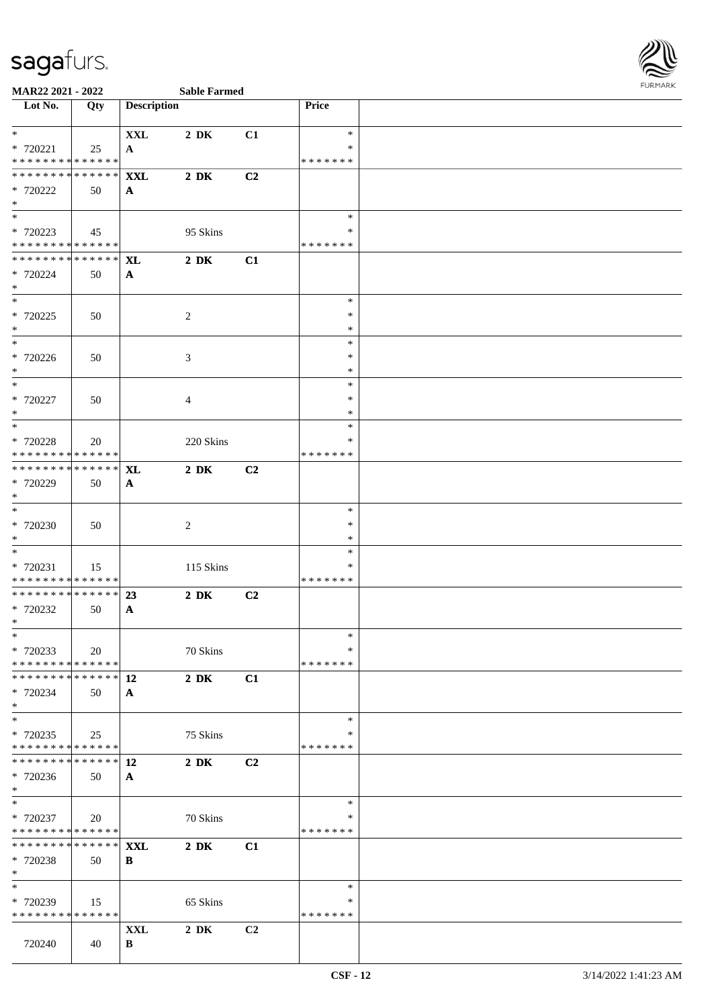

| Lot No.                                                                                  | Qty         | <b>Description</b>    |                  |                | <b>Price</b>            |  |
|------------------------------------------------------------------------------------------|-------------|-----------------------|------------------|----------------|-------------------------|--|
| $*$                                                                                      |             | <b>XXL</b>            | $2\,$ DK         | C1             | $\ast$                  |  |
| * 720221                                                                                 | 25          | A                     |                  |                | $\ast$                  |  |
| * * * * * * * * <mark>* * * * * * *</mark><br>* * * * * * * * <mark>* * * * * * *</mark> |             | <b>XXL</b>            | $2\ \mathrm{DK}$ | C2             | * * * * * * *           |  |
| * 720222                                                                                 | 50          | $\mathbf{A}$          |                  |                |                         |  |
| $*$                                                                                      |             |                       |                  |                |                         |  |
| $\overline{\mathbf{r}}$                                                                  |             |                       |                  |                | $\ast$                  |  |
| * 720223<br>* * * * * * * * <mark>* * * * * * *</mark>                                   | 45          |                       | 95 Skins         |                | $\ast$                  |  |
| * * * * * * * * * * * * * *                                                              |             | $\mathbf{X}$ <b>L</b> | $2\ \mathrm{DK}$ | C1             | * * * * * * *           |  |
| * 720224                                                                                 | 50          | $\mathbf{A}$          |                  |                |                         |  |
| $*$                                                                                      |             |                       |                  |                |                         |  |
|                                                                                          |             |                       |                  |                | $\ast$                  |  |
| * 720225<br>$*$                                                                          | 50          |                       | 2                |                | $\ast$<br>$\ast$        |  |
| $\overline{\ast}$                                                                        |             |                       |                  |                | $\ast$                  |  |
| * 720226                                                                                 | 50          |                       | 3                |                | $\ast$                  |  |
| $*$                                                                                      |             |                       |                  |                | $\ast$                  |  |
| * 720227                                                                                 | 50          |                       | $\overline{4}$   |                | $\ast$<br>$\ast$        |  |
| $*$                                                                                      |             |                       |                  |                | $\ast$                  |  |
|                                                                                          |             |                       |                  |                | $\ast$                  |  |
| * 720228                                                                                 | 20          |                       | 220 Skins        |                | ∗                       |  |
| * * * * * * * * <mark>* * * * * *</mark><br>* * * * * * * * <mark>* * * * * * *</mark>   |             | <b>XL</b>             | $2\,$ DK         | C2             | * * * * * * *           |  |
| * 720229                                                                                 | 50          | $\mathbf{A}$          |                  |                |                         |  |
| $\ast$                                                                                   |             |                       |                  |                |                         |  |
| $*$                                                                                      |             |                       |                  |                | $\ast$                  |  |
| * 720230<br>$*$                                                                          | 50          |                       | 2                |                | $\ast$<br>$\ast$        |  |
| $\overline{\phantom{0}}$                                                                 |             |                       |                  |                | $\ast$                  |  |
| * 720231                                                                                 | 15          |                       | 115 Skins        |                | ∗                       |  |
| * * * * * * * * <mark>* * * * * *</mark><br>* * * * * * * * * * * * * * *                |             |                       |                  |                | * * * * * * *           |  |
| * 720232                                                                                 | 50          | 23<br>$\mathbf{A}$    | $2\,$ DK         | C2             |                         |  |
| $*$                                                                                      |             |                       |                  |                |                         |  |
| $*$                                                                                      |             |                       |                  |                | $\ast$                  |  |
| * 720233<br>* * * * * * * * * * * * * * <mark>*</mark>                                   | 20          |                       | 70 Skins         |                | $\ast$<br>* * * * * * * |  |
| * * * * * * * * * * * * * * <mark>*</mark>                                               |             | 12                    | $2\,$ DK         | C1             |                         |  |
| * 720234                                                                                 | 50          | $\mathbf{A}$          |                  |                |                         |  |
| $\ast$                                                                                   |             |                       |                  |                |                         |  |
| $*$                                                                                      |             |                       |                  |                | $\ast$<br>∗             |  |
| * 720235<br>* * * * * * * * <mark>* * * * * *</mark>                                     | 25          |                       | 75 Skins         |                | * * * * * * *           |  |
| * * * * * * * *                                                                          | * * * * * * | 12                    | $2\,$ DK         | C2             |                         |  |
| * 720236                                                                                 | 50          | $\mathbf{A}$          |                  |                |                         |  |
| $*$<br>$*$                                                                               |             |                       |                  |                | $\ast$                  |  |
| * 720237                                                                                 | 20          |                       | 70 Skins         |                | ∗                       |  |
| * * * * * * * * * * * * * * *                                                            |             |                       |                  |                | * * * * * * *           |  |
| * * * * * * * * * * * * * * <mark>*</mark>                                               |             | <b>XXL</b>            | $2\,$ DK         | C1             |                         |  |
| * 720238<br>$*$                                                                          | 50          | B                     |                  |                |                         |  |
| $\ast$                                                                                   |             |                       |                  |                | $\ast$                  |  |
| * 720239                                                                                 | 15          |                       | 65 Skins         |                | $\ast$                  |  |
| * * * * * * * * * * * * * * *                                                            |             |                       |                  |                | * * * * * * *           |  |
|                                                                                          |             | XXL                   | $2\,$ DK         | C <sub>2</sub> |                         |  |
| 720240                                                                                   | 40          | B                     |                  |                |                         |  |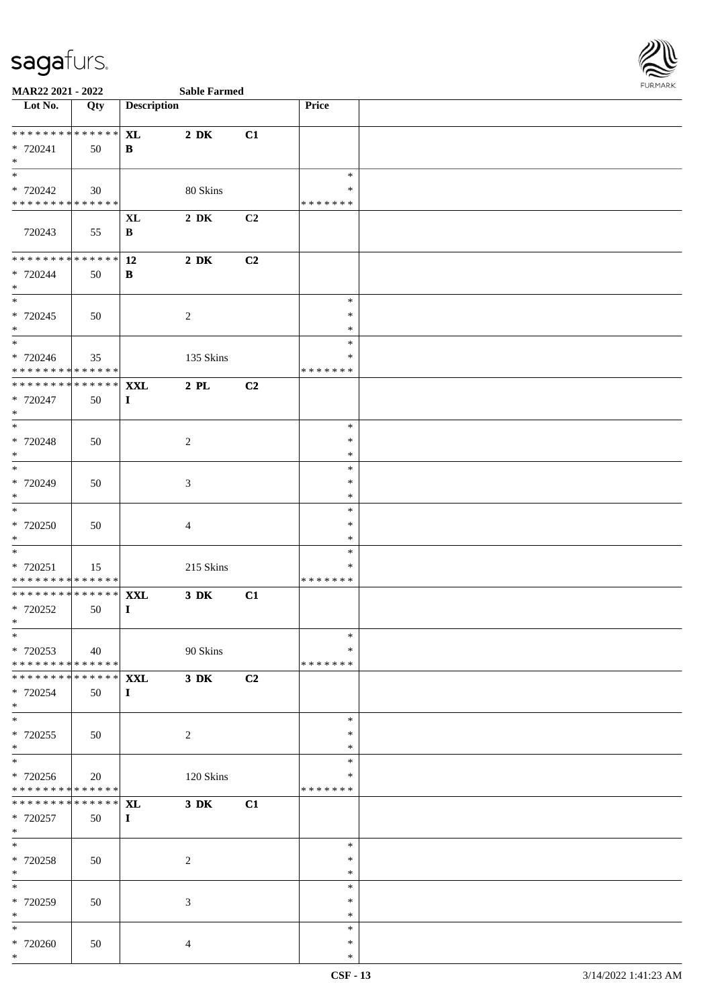

| Lot No.                                        | Qty         | <b>Description</b>        |                  |    | Price                   |  |
|------------------------------------------------|-------------|---------------------------|------------------|----|-------------------------|--|
| ******** <mark>******</mark>                   |             | <b>XL</b>                 | $2\,$ DK         | C1 |                         |  |
| * 720241                                       | 50          | B                         |                  |    |                         |  |
| $*$                                            |             |                           |                  |    |                         |  |
| $\overline{\phantom{0}}$                       |             |                           |                  |    | $\ast$                  |  |
| * 720242<br>* * * * * * * * * * * * * *        | 30          |                           | 80 Skins         |    | ∗<br>* * * * * * *      |  |
|                                                |             | $\bold{X}\bold{L}$        | $2\,$ DK         | C2 |                         |  |
| 720243                                         | 55          | $\, {\bf B}$              |                  |    |                         |  |
|                                                |             |                           |                  |    |                         |  |
| ******** <mark>******</mark>                   |             | 12                        | $2\ \mathrm{DK}$ | C2 |                         |  |
| * 720244<br>$*$                                | 50          | B                         |                  |    |                         |  |
| $\overline{\phantom{0}}$                       |             |                           |                  |    | $\ast$                  |  |
| * 720245                                       | 50          |                           | $\sqrt{2}$       |    | $\ast$                  |  |
| $*$                                            |             |                           |                  |    | $\ast$                  |  |
| $\overline{\phantom{0}}$                       |             |                           |                  |    | $\ast$                  |  |
| $* 720246$<br>* * * * * * * * * * * * * *      | 35          |                           | 135 Skins        |    | $\ast$<br>* * * * * * * |  |
| * * * * * * * *                                | ******      | <b>XXL</b>                | $2$ PL           | C2 |                         |  |
| * 720247                                       | 50          | $\mathbf I$               |                  |    |                         |  |
| $*$                                            |             |                           |                  |    |                         |  |
| $\overline{\phantom{0}}$                       |             |                           |                  |    | $\ast$                  |  |
| $* 720248$<br>$*$                              | 50          |                           | $\sqrt{2}$       |    | $\ast$<br>∗             |  |
| $\overline{\ast}$                              |             |                           |                  |    | $\ast$                  |  |
| * 720249                                       | 50          |                           | 3                |    | $\ast$                  |  |
| $*$                                            |             |                           |                  |    | $\ast$                  |  |
|                                                |             |                           |                  |    | $\ast$<br>$\ast$        |  |
| $* 720250$<br>$*$                              | 50          |                           | 4                |    | $\ast$                  |  |
| $*$                                            |             |                           |                  |    | $\ast$                  |  |
| * 720251                                       | 15          |                           | 215 Skins        |    | ∗                       |  |
| * * * * * * * * * * * * * *                    |             |                           |                  |    | * * * * * * *           |  |
| * * * * * * * * * * * * * * *<br>$* 720252$    | 50          | <b>XXL</b><br>$\mathbf I$ | $3\,$ DK         | C1 |                         |  |
| $*$                                            |             |                           |                  |    |                         |  |
| $*$ $-$                                        |             |                           |                  |    | $*$                     |  |
| * 720253                                       | 40          |                           | 90 Skins         |    | $\ast$                  |  |
| * * * * * * * * * * * * * *<br>* * * * * * * * | * * * * * * | <b>XXL</b>                | $3\,$ DK         | C2 | * * * * * * *           |  |
| * 720254                                       | 50          | $\mathbf{I}$              |                  |    |                         |  |
| $*$                                            |             |                           |                  |    |                         |  |
| $*$                                            |             |                           |                  |    | $\ast$                  |  |
| $*720255$                                      | 50          |                           | $\overline{2}$   |    | $\ast$                  |  |
| $*$<br>$\ast$                                  |             |                           |                  |    | $\ast$<br>$\ast$        |  |
| * 720256                                       | 20          |                           | 120 Skins        |    | ∗                       |  |
| * * * * * * * * * * * * * *                    |             |                           |                  |    | * * * * * * *           |  |
| * * * * * * * *                                | ******      | <b>XL</b>                 | $3\,$ DK         | C1 |                         |  |
| * 720257                                       | 50          | $\bf{I}$                  |                  |    |                         |  |
| $*$<br>$*$                                     |             |                           |                  |    | $\ast$                  |  |
| * 720258                                       | 50          |                           | $\sqrt{2}$       |    | $\ast$                  |  |
| $*$                                            |             |                           |                  |    | $\ast$                  |  |
| $*$                                            |             |                           |                  |    | $\ast$                  |  |
| * 720259<br>$*$                                | 50          |                           | 3                |    | $\ast$<br>$\ast$        |  |
| $\ast$                                         |             |                           |                  |    | $\ast$                  |  |
| * 720260                                       | 50          |                           | $\overline{4}$   |    | $\ast$                  |  |
| $*$                                            |             |                           |                  |    | $\ast$                  |  |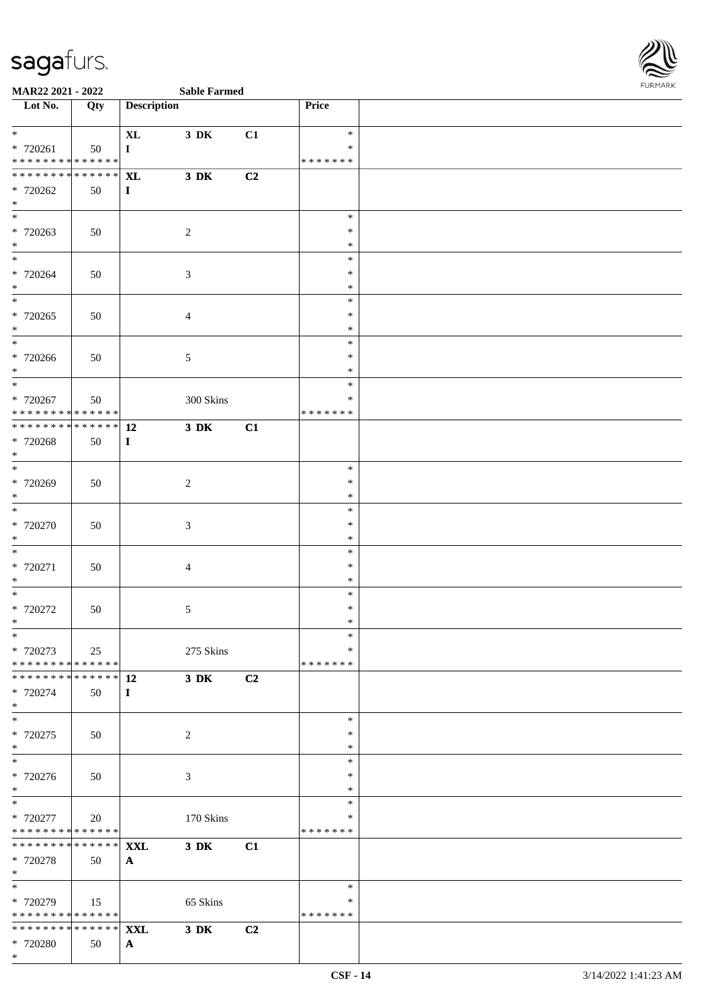

| Lot No.                                                  | Qty           | <b>Description</b> |                  |    | Price                   |  |
|----------------------------------------------------------|---------------|--------------------|------------------|----|-------------------------|--|
| $\ddot{x}$                                               |               | $\bold{X}\bold{L}$ | 3 DK             | C1 | $\ast$                  |  |
| $* 720261$<br>* * * * * * * * <mark>* * * * * * *</mark> | 50            | $\mathbf{I}$       |                  |    | $\ast$<br>* * * * * * * |  |
| * * * * * * * * <mark>* * * * * * *</mark>               |               | <b>XL</b>          | 3 DK             | C2 |                         |  |
| * 720262                                                 | 50            | $\bf{I}$           |                  |    |                         |  |
| $\ast$                                                   |               |                    |                  |    | $\ast$                  |  |
| * 720263                                                 | 50            |                    | 2                |    | $\ast$                  |  |
| $*$<br>$\ast$                                            |               |                    |                  |    | $\ast$<br>$\ast$        |  |
| * 720264                                                 | 50            |                    | $\mathfrak{Z}$   |    | ∗                       |  |
| $*$                                                      |               |                    |                  |    | $\ast$<br>$\ast$        |  |
| * 720265                                                 | 50            |                    | $\overline{4}$   |    | $\ast$                  |  |
| $*$                                                      |               |                    |                  |    | $\ast$                  |  |
| * 720266                                                 | 50            |                    | $\mathfrak{S}$   |    | $\ast$<br>$\ast$        |  |
| $*$<br>*                                                 |               |                    |                  |    | $\ast$                  |  |
| * 720267                                                 | 50            |                    | 300 Skins        |    | $\ast$<br>∗             |  |
| * * * * * * * * * * * * * * <mark>*</mark>               |               |                    |                  |    | * * * * * * *           |  |
| ************** 12                                        |               |                    | $3\ \mathrm{DK}$ | C1 |                         |  |
| * 720268<br>$\ast$                                       | 50            | $\mathbf{I}$       |                  |    |                         |  |
| $*$                                                      |               |                    |                  |    | $\ast$                  |  |
| * 720269<br>$\ast$                                       | 50            |                    | 2                |    | $\ast$<br>$\ast$        |  |
| $\overline{\ast}$                                        |               |                    |                  |    | $\ast$                  |  |
| * 720270<br>$*$                                          | 50            |                    | $\mathfrak{Z}$   |    | ∗<br>$\ast$             |  |
|                                                          |               |                    |                  |    | $\ast$                  |  |
| * 720271                                                 | 50            |                    | $\overline{4}$   |    | $\ast$                  |  |
| $*$<br>$*$                                               |               |                    |                  |    | $\ast$<br>$\ast$        |  |
| * 720272                                                 | 50            |                    | $\mathfrak{S}$   |    | $\ast$                  |  |
| $\ast$                                                   |               |                    |                  |    | $\ast$<br>$\ast$        |  |
| * 720273                                                 | 25            |                    | 275 Skins        |    | $\ast$                  |  |
| * * * * * * * * <mark>* * * * * * *</mark>               |               |                    |                  |    | *******                 |  |
| * 720274                                                 | 50            | $\bf{I}$           | $3\,$ DK         | C2 |                         |  |
| $\ast$<br>$*$                                            |               |                    |                  |    |                         |  |
| * 720275                                                 | 50            |                    | 2                |    | $\ast$<br>$\ast$        |  |
| $\ast$                                                   |               |                    |                  |    | $\ast$                  |  |
| $\overline{\ast}$<br>* 720276                            | 50            |                    | 3                |    | $\ast$<br>$\ast$        |  |
| $*$                                                      |               |                    |                  |    | ∗                       |  |
| $\overline{\ast}$<br>* 720277                            |               |                    |                  |    | $\ast$<br>∗             |  |
| * * * * * * * * <mark>* * * * * *</mark>                 | 20            |                    | 170 Skins        |    | * * * * * * *           |  |
| * * * * * * * *                                          | * * * * * * * | <b>XXL</b>         | $3\,$ DK         | C1 |                         |  |
| * 720278<br>$\ast$                                       | 50            | $\mathbf{A}$       |                  |    |                         |  |
| $\overline{\phantom{0}}$                                 |               |                    |                  |    | $\ast$                  |  |
| * 720279<br>* * * * * * * * <mark>* * * * * * *</mark>   | 15            |                    | 65 Skins         |    | ∗<br>*******            |  |
| * * * * * * * * * * * * * * <mark>*</mark>               |               | <b>XXL</b>         | $3\,$ DK         | C2 |                         |  |
| * 720280<br>$\ast$                                       | 50            | $\mathbf{A}$       |                  |    |                         |  |
|                                                          |               |                    |                  |    |                         |  |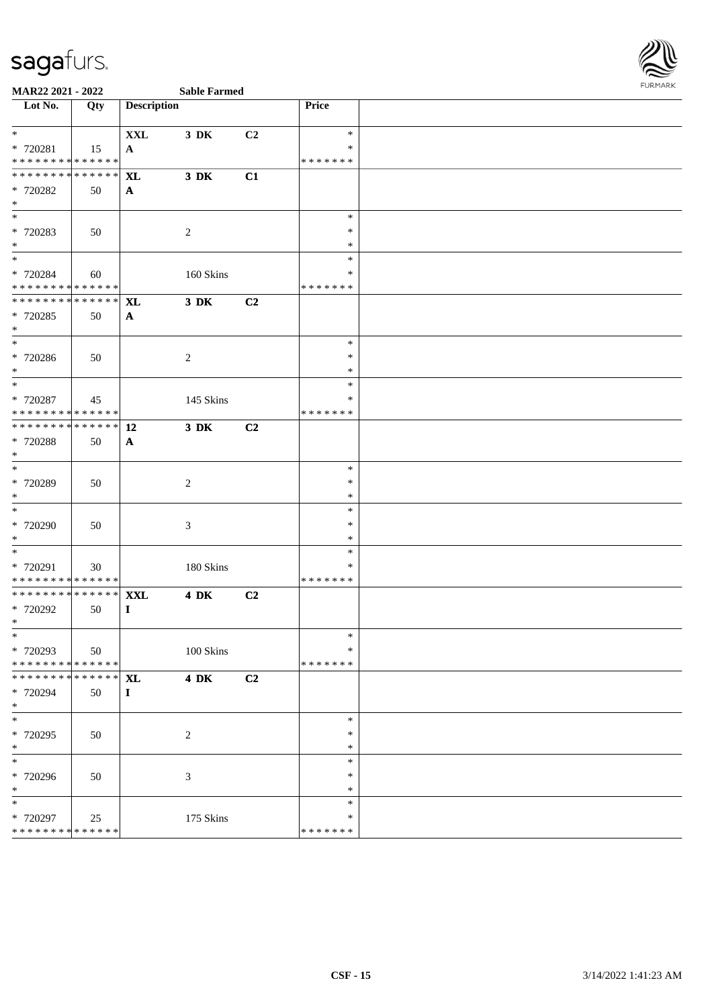

| Lot No.                                                                            | Qty | <b>Description</b>             |             |    | <b>Price</b>                      |  |
|------------------------------------------------------------------------------------|-----|--------------------------------|-------------|----|-----------------------------------|--|
| $\ast$<br>* 720281<br>* * * * * * * * * * * * * *                                  | 15  | $\mathbf{XXL}$<br>$\mathbf{A}$ | 3 DK        | C2 | $\ast$<br>∗<br>* * * * * * *      |  |
| * * * * * * * * * * * * * * *<br>* 720282<br>$*$                                   | 50  | <b>XL</b><br>$\mathbf{A}$      | 3 DK        | C1 |                                   |  |
| $*$<br>* 720283<br>$*$                                                             | 50  |                                | 2           |    | $\ast$<br>$\ast$<br>$\ast$        |  |
| * 720284<br>* * * * * * * * * * * * * *                                            | 60  |                                | 160 Skins   |    | $\ast$<br>∗<br>* * * * * * *      |  |
| **************<br>* 720285<br>$*$                                                  | 50  | <b>XL</b><br>$\mathbf{A}$      | $3$ DK      | C2 |                                   |  |
| $*$<br>* 720286<br>$*$                                                             | 50  |                                | 2           |    | $\ast$<br>$\ast$<br>$\ast$        |  |
| * 720287<br>* * * * * * * * * * * * * * *                                          | 45  |                                | 145 Skins   |    | $\ast$<br>∗<br>* * * * * * *      |  |
| ******** <mark>******</mark><br>* 720288<br>$*$                                    | 50  | 12<br>$\mathbf{A}$             | 3 DK        | C2 |                                   |  |
| $*$<br>* 720289<br>$\ast$                                                          | 50  |                                | 2           |    | $\ast$<br>$\ast$<br>$\ast$        |  |
| * 720290<br>$*$                                                                    | 50  |                                | 3           |    | $\ast$<br>$\ast$<br>$\ast$        |  |
| $\overline{\phantom{0}}$<br>* 720291<br>* * * * * * * * <mark>* * * * * * *</mark> | 30  |                                | 180 Skins   |    | $\ast$<br>∗<br>* * * * * * *      |  |
| ******** <mark>******</mark><br>* 720292<br>$\ast$                                 | 50  | <b>XXL</b><br>$\bf{I}$         | <b>4 DK</b> | C2 |                                   |  |
| $*$<br>* 720293<br>* * * * * * * * * * * * * * *                                   | 50  |                                | 100 Skins   |    | $\ast$<br>$\ast$<br>* * * * * * * |  |
| * * * * * * * * * * * * * * *<br>* 720294<br>$\ast$                                | 50  | <b>XL</b><br>$\mathbf{I}$      | <b>4 DK</b> | C2 |                                   |  |
| $*$<br>* 720295<br>$*$                                                             | 50  |                                | 2           |    | $\ast$<br>$\ast$<br>$\ast$        |  |
| * 720296<br>$*$                                                                    | 50  |                                | 3           |    | $\ast$<br>$\ast$<br>∗             |  |
| $\ast$<br>* 720297<br>* * * * * * * * * * * * * *                                  | 25  |                                | 175 Skins   |    | $\ast$<br>$\ast$<br>* * * * * * * |  |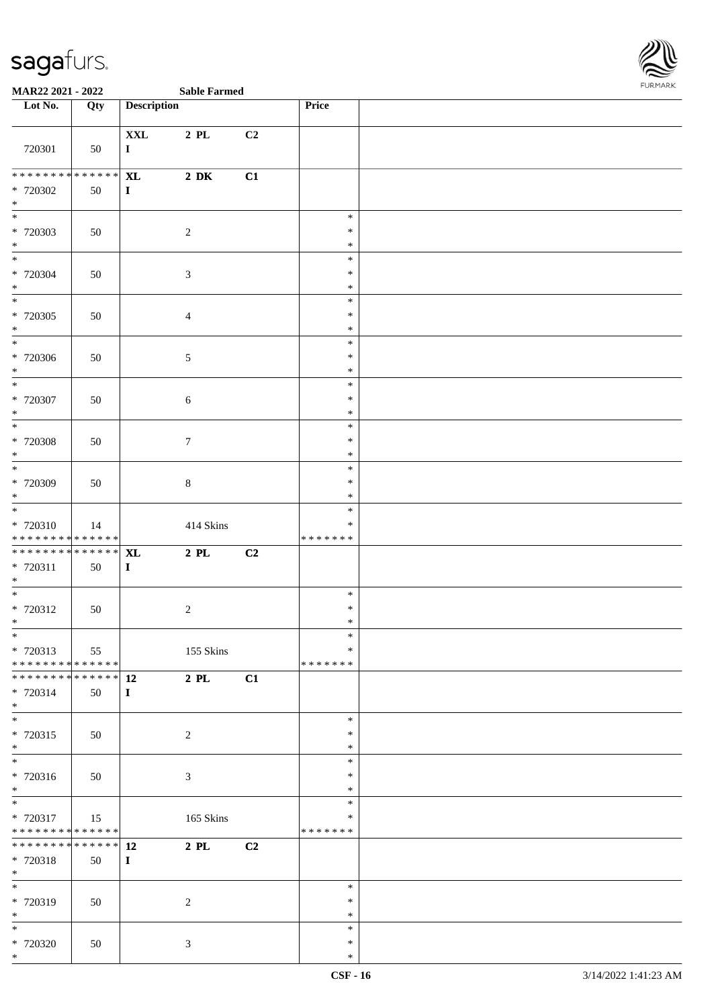

| Lot No.                                                                  | Qty | <b>Description</b>                 |                  |    | <b>Price</b>                         |  |
|--------------------------------------------------------------------------|-----|------------------------------------|------------------|----|--------------------------------------|--|
| 720301                                                                   | 50  | $\mathbf{XXL}$<br>$\mathbf I$      | $2$ PL           | C2 |                                      |  |
| * * * * * * * * <mark>* * * * * * *</mark><br>* 720302<br>$*$            | 50  | $\bold{X}\bold{L}$<br>$\mathbf{I}$ | $2\,$ DK         | C1 |                                      |  |
| $\overline{\ }$<br>* 720303<br>$*$                                       | 50  |                                    | $\overline{2}$   |    | $\ast$<br>$\ast$<br>$\ast$           |  |
| * 720304<br>$*$                                                          | 50  |                                    | $\mathfrak{Z}$   |    | $\ast$<br>$\ast$<br>$\ast$           |  |
| $\overline{\phantom{0}}$<br>* 720305<br>$*$                              | 50  |                                    | $\overline{4}$   |    | $\ast$<br>$\ast$<br>$\ast$           |  |
| $\overline{\phantom{0}}$<br>* 720306<br>$*$<br>$\frac{1}{1}$             | 50  |                                    | $\sqrt{5}$       |    | $\ast$<br>$\ast$<br>$\ast$           |  |
| * 720307<br>$*$<br>$\overline{\phantom{0}}$                              | 50  |                                    | $\sqrt{6}$       |    | $\ast$<br>$\ast$<br>$\ast$           |  |
| * 720308<br>$*$<br>$\overline{\phantom{0}}$                              | 50  |                                    | $\boldsymbol{7}$ |    | $\ast$<br>$\ast$<br>$\ast$           |  |
| * 720309<br>$*$                                                          | 50  |                                    | $8\,$            |    | $\ast$<br>$\ast$<br>$\ast$           |  |
| $* 720310$<br>* * * * * * * * <mark>* * * * * * *</mark>                 | 14  |                                    | 414 Skins        |    | $\ast$<br>∗<br>* * * * * * *         |  |
| ******** <mark>******</mark><br>* 720311<br>$*$                          | 50  | <b>XL</b><br>$\mathbf{I}$          | $2$ PL           | C2 |                                      |  |
| $*$<br>* 720312<br>$\ast$                                                | 50  |                                    | $\sqrt{2}$       |    | $\ast$<br>$\ast$<br>$\ast$           |  |
| $*$<br>* 720313<br>******** <mark>******</mark>                          | 55  |                                    | 155 Skins        |    | $\ast$<br>$\ast$<br>* * * * * * *    |  |
| * * * * * * * * * * * * * * *<br>* 720314<br>$*$                         | 50  | 12<br>$\mathbf{I}$                 | $2$ PL           | C1 |                                      |  |
| $*$<br>* 720315<br>$*$                                                   | 50  |                                    | 2                |    | $\ast$<br>$\ast$<br>$\ast$<br>$\ast$ |  |
| * 720316<br>$*$<br>$\overline{\phantom{0}}$                              | 50  |                                    | $\mathfrak{Z}$   |    | $\ast$<br>$\ast$<br>$\ast$           |  |
| * 720317<br>* * * * * * * * * * * * * *<br>* * * * * * * * * * * * * * * | 15  |                                    | 165 Skins        |    | $\ast$<br>* * * * * * *              |  |
| * 720318<br>$*$<br>$*$                                                   | 50  | 12<br>$\bf{I}$                     | $2$ PL           | C2 | $\ast$                               |  |
| * 720319<br>$*$<br>$*$                                                   | 50  |                                    | $\sqrt{2}$       |    | $\ast$<br>$\ast$<br>$\ast$           |  |
| * 720320<br>$*$                                                          | 50  |                                    | $\mathfrak{Z}$   |    | $\ast$<br>$\ast$                     |  |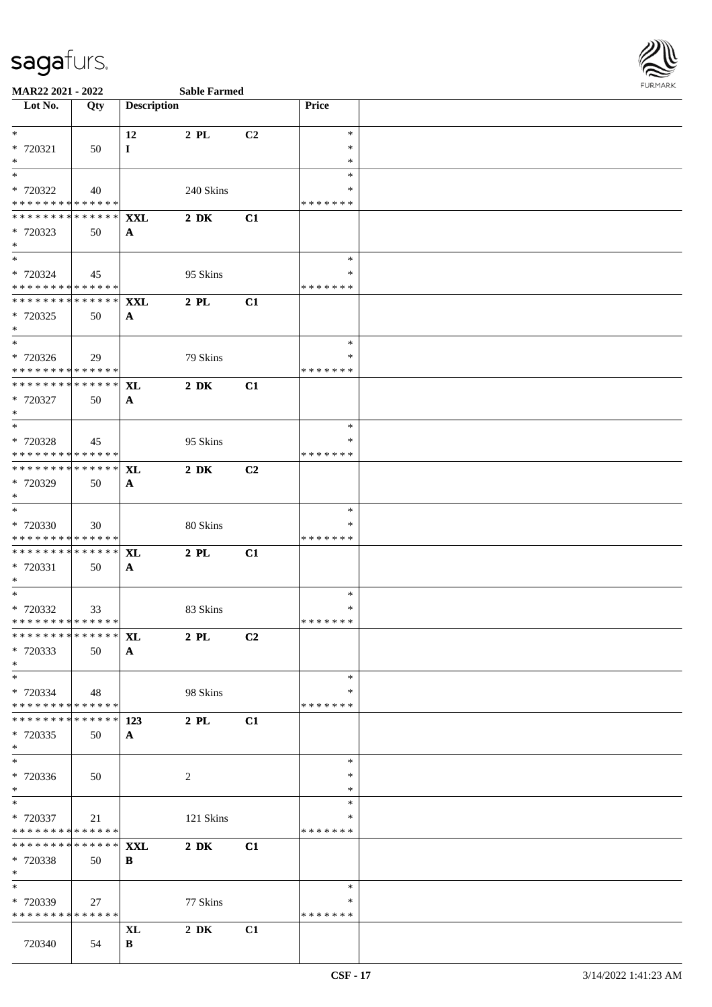

### **MAR22 2021 - 2022**

| <b>Sable Farmed</b> |
|---------------------|

| Lot No.                                 | Qty           | <b>Description</b> |                  |                | Price         |  |
|-----------------------------------------|---------------|--------------------|------------------|----------------|---------------|--|
|                                         |               |                    |                  |                |               |  |
| $*$                                     |               | 12                 | 2 PL             | C <sub>2</sub> | $\ast$        |  |
| * 720321                                | 50            | $\bf{I}$           |                  |                | $\ast$        |  |
| $*$                                     |               |                    |                  |                | $\ast$        |  |
| $*$                                     |               |                    |                  |                | $\ast$        |  |
| * 720322                                | 40            |                    | 240 Skins        |                | ∗             |  |
| * * * * * * * * * * * * * *             |               |                    |                  |                | * * * * * * * |  |
| * * * * * * * *                         | ******        | <b>XXL</b>         | $2\,$ DK         | C1             |               |  |
| * 720323<br>$*$                         | 50            | $\mathbf{A}$       |                  |                |               |  |
| $*$                                     |               |                    |                  |                | $\ast$        |  |
| * 720324                                | 45            |                    | 95 Skins         |                | ∗             |  |
| * * * * * * * * * * * * * *             |               |                    |                  |                | * * * * * * * |  |
| ******** <mark>******</mark>            |               | <b>XXL</b>         | $2$ PL           | C1             |               |  |
| * 720325                                | 50            | $\mathbf{A}$       |                  |                |               |  |
| $*$                                     |               |                    |                  |                |               |  |
| $*$                                     |               |                    |                  |                | $\ast$        |  |
| * 720326                                | 29            |                    | 79 Skins         |                | $\ast$        |  |
| * * * * * * * * * * * * * *             |               |                    |                  |                | * * * * * * * |  |
| * * * * * * * * * * * * * * *           |               | <b>XL</b>          | $2\ \mathrm{DK}$ | C1             |               |  |
| * 720327                                | 50            | $\mathbf{A}$       |                  |                |               |  |
| $*$                                     |               |                    |                  |                |               |  |
| $\overline{\phantom{0}}$                |               |                    |                  |                | $\ast$        |  |
| * 720328                                | 45            |                    | 95 Skins         |                | *             |  |
| * * * * * * * * * * * * * *             |               |                    |                  |                | * * * * * * * |  |
| ******** <mark>******</mark>            |               | <b>XL</b>          | $2\ \mathrm{DK}$ | C <sub>2</sub> |               |  |
| * 720329<br>$*$                         | 50            | $\mathbf{A}$       |                  |                |               |  |
| $*$                                     |               |                    |                  |                | ∗             |  |
| * 720330                                | 30            |                    | 80 Skins         |                | ∗             |  |
| * * * * * * * * * * * * * *             |               |                    |                  |                | * * * * * * * |  |
| * * * * * * * * * * * * * *             |               | <b>XL</b>          | $2$ PL           | C1             |               |  |
| * 720331                                | 50            | A                  |                  |                |               |  |
| $*$                                     |               |                    |                  |                |               |  |
| $*$                                     |               |                    |                  |                | $\ast$        |  |
| * 720332                                | 33            |                    | 83 Skins         |                | ∗             |  |
| * * * * * * * * * * * * * *             |               |                    |                  |                | * * * * * * * |  |
| ******** <mark>******</mark> <b>XL</b>  |               |                    | 2 PL             | C2             |               |  |
| * 720333                                | 50            | $\mathbf{A}$       |                  |                |               |  |
| $*$                                     |               |                    |                  |                |               |  |
|                                         |               |                    |                  |                | $\ast$<br>*   |  |
| * 720334<br>* * * * * * * * * * * * * * | 48            |                    | 98 Skins         |                | * * * * * * * |  |
| * * * * * * * * * * * * * * *           |               | 123                | $2$ PL           | C1             |               |  |
| * 720335                                | 50            | $\mathbf{A}$       |                  |                |               |  |
| $*$                                     |               |                    |                  |                |               |  |
| $*$                                     |               |                    |                  |                | $\ast$        |  |
| * 720336                                | 50            |                    | $\overline{2}$   |                | ∗             |  |
| $*$                                     |               |                    |                  |                | $\ast$        |  |
| $*$                                     |               |                    |                  |                | $\ast$        |  |
| * 720337                                | 21            |                    | 121 Skins        |                | *             |  |
| * * * * * * * * * * * * * *             |               |                    |                  |                | * * * * * * * |  |
| * * * * * * * *                         | * * * * * * * | <b>XXL</b>         | $2\,$ DK         | C1             |               |  |
| * 720338                                | 50            | B                  |                  |                |               |  |
| $*$<br>$\ast$                           |               |                    |                  |                |               |  |
|                                         |               |                    |                  |                | ∗<br>∗        |  |
| * 720339<br>* * * * * * * * * * * * * * | 27            |                    | 77 Skins         |                | * * * * * * * |  |
|                                         |               | XL                 | $2\,$ DK         | C1             |               |  |
| 720340                                  | 54            | B                  |                  |                |               |  |
|                                         |               |                    |                  |                |               |  |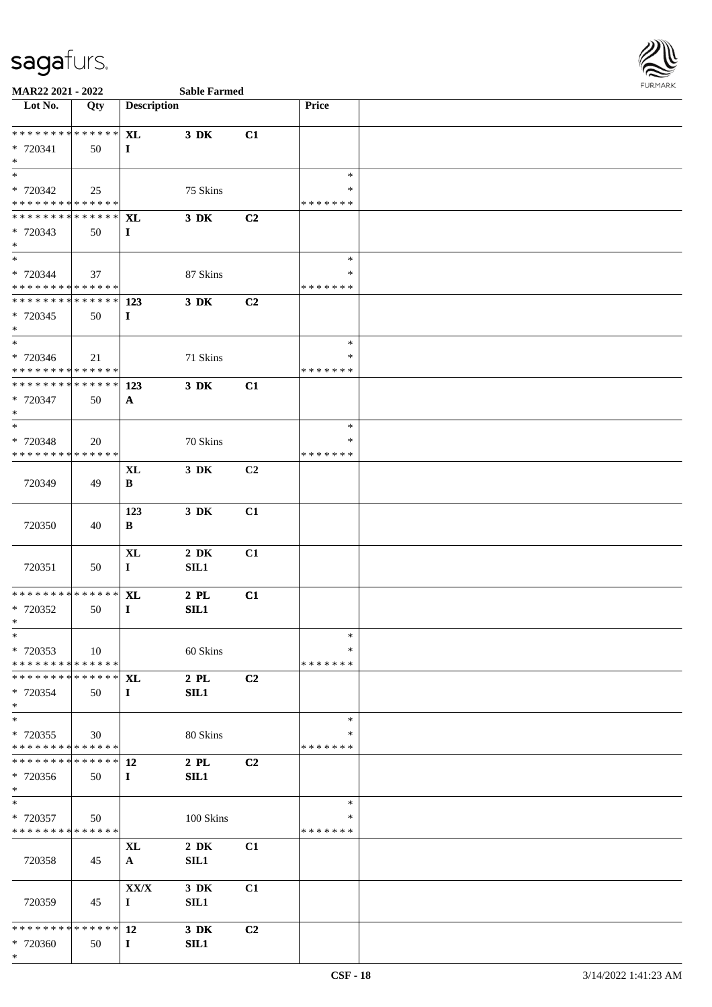

| Lot No.                                                      | Qty         | <b>Description</b>                 |                |                | Price              |  |
|--------------------------------------------------------------|-------------|------------------------------------|----------------|----------------|--------------------|--|
|                                                              |             |                                    |                |                |                    |  |
| ******** <mark>******</mark>                                 |             | <b>XL</b>                          | $3\,$ DK       | C1             |                    |  |
| * 720341                                                     | 50          | $\bf{I}$                           |                |                |                    |  |
| $*$<br>$\ast$                                                |             |                                    |                |                | $\ast$             |  |
| * 720342                                                     | 25          |                                    | 75 Skins       |                | ∗                  |  |
| * * * * * * * * * * * * * *                                  |             |                                    |                |                | * * * * * * *      |  |
| ******** <mark>******</mark>                                 |             | <b>XL</b>                          | $3$ DK         | C2             |                    |  |
| * 720343                                                     | 50          | $\bf{I}$                           |                |                |                    |  |
| $*$                                                          |             |                                    |                |                |                    |  |
| $\ast$                                                       |             |                                    |                |                | $\ast$             |  |
| * 720344                                                     | 37          |                                    | 87 Skins       |                | $\ast$             |  |
| * * * * * * * * * * * * * *<br>* * * * * * * * * * * * * * * |             |                                    |                |                | * * * * * * *      |  |
|                                                              |             | 123                                | $3$ DK         | C <sub>2</sub> |                    |  |
| * 720345<br>$*$                                              | 50          | $\bf{I}$                           |                |                |                    |  |
| $\overline{\phantom{0}}$                                     |             |                                    |                |                | $\ast$             |  |
| * 720346                                                     | 21          |                                    | 71 Skins       |                | ∗                  |  |
| * * * * * * * * * * * * * *                                  |             |                                    |                |                | * * * * * * *      |  |
| ******** <mark>******</mark>                                 |             | 123                                | $3$ DK         | C1             |                    |  |
| * 720347                                                     | 50          | $\mathbf{A}$                       |                |                |                    |  |
| $*$                                                          |             |                                    |                |                |                    |  |
| $\overline{\phantom{0}}$                                     |             |                                    |                |                | $\ast$             |  |
| * 720348<br>* * * * * * * * * * * * * *                      | 20          |                                    | 70 Skins       |                | ∗<br>* * * * * * * |  |
|                                                              |             | <b>XL</b>                          | 3 DK           | C2             |                    |  |
| 720349                                                       | 49          | B                                  |                |                |                    |  |
|                                                              |             |                                    |                |                |                    |  |
|                                                              |             | 123                                | $3\,$ DK       | C1             |                    |  |
| 720350                                                       | 40          | B                                  |                |                |                    |  |
|                                                              |             |                                    |                |                |                    |  |
|                                                              |             | <b>XL</b>                          | $2\,$ DK       | C1             |                    |  |
| 720351                                                       | 50          | $\mathbf{I}$                       | SL1            |                |                    |  |
| * * * * * * * * * * * * * *                                  |             |                                    |                |                |                    |  |
| $* 720352$                                                   | 50          | $\bold{X}\bold{L}$<br>$\mathbf{I}$ | $2$ PL<br>SIL1 | C1             |                    |  |
| $*$                                                          |             |                                    |                |                |                    |  |
| $*$                                                          |             |                                    |                |                | $*$                |  |
| * 720353                                                     | 10          |                                    | 60 Skins       |                | ∗                  |  |
| * * * * * * * * * * * * * *                                  |             |                                    |                |                | * * * * * * *      |  |
| * * * * * * * * * * * * * * *                                |             | <b>XL</b>                          | $2$ PL         | C2             |                    |  |
| * 720354                                                     | 50          | $\bf{I}$                           | SIL1           |                |                    |  |
| $\ast$                                                       |             |                                    |                |                |                    |  |
| $*$                                                          |             |                                    |                |                | $\ast$<br>∗        |  |
| * 720355<br>* * * * * * * * * * * * * *                      | 30          |                                    | 80 Skins       |                | * * * * * * *      |  |
| * * * * * * * *                                              | ******      | <b>12</b>                          | $2$ PL         | C <sub>2</sub> |                    |  |
| * 720356                                                     | 50          | $\bf{I}$                           | SL1            |                |                    |  |
| $*$                                                          |             |                                    |                |                |                    |  |
| $*$                                                          |             |                                    |                |                | $\ast$             |  |
| * 720357                                                     | 50          |                                    | 100 Skins      |                | ∗                  |  |
| * * * * * * * * * * * * * *                                  |             |                                    |                |                | * * * * * * *      |  |
|                                                              |             | <b>XL</b>                          | $2\,$ DK       | C1             |                    |  |
| 720358                                                       | 45          | $\mathbf{A}$                       | SL1            |                |                    |  |
|                                                              |             | ${\bf XX/ X}$                      | $3\,$ DK       | C1             |                    |  |
| 720359                                                       | 45          | $\bf{I}$                           | SL1            |                |                    |  |
|                                                              |             |                                    |                |                |                    |  |
| * * * * * * * *                                              | * * * * * * | 12                                 | 3 DK           | C <sub>2</sub> |                    |  |
| * 720360                                                     | 50          | $\bf{I}$                           | SL1            |                |                    |  |
| $*$                                                          |             |                                    |                |                |                    |  |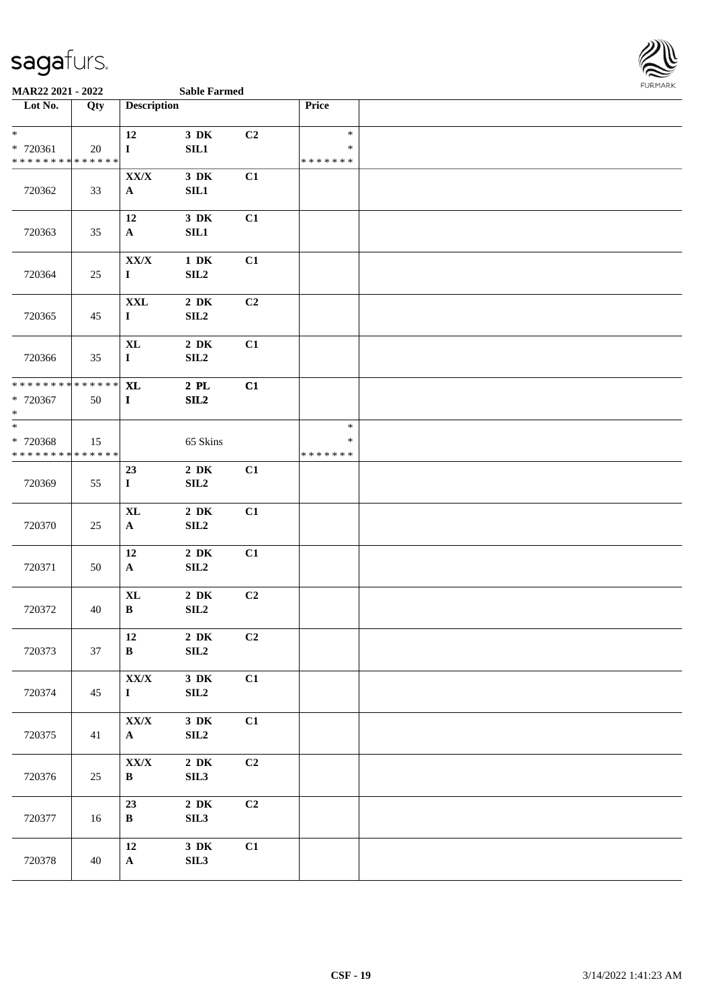

| Lot No.                                                       | Qty    | <b>Description</b>                |                          |    | Price                             |  |
|---------------------------------------------------------------|--------|-----------------------------------|--------------------------|----|-----------------------------------|--|
| $\ast$<br>* 720361<br>* * * * * * * * * * * * * *             | 20     | 12<br>$\mathbf I$                 | $3\,$ DK<br>SL1          | C2 | $\ast$<br>$\ast$<br>* * * * * * * |  |
| 720362                                                        | 33     | XX/X<br>$\mathbf{A}$              | $3\,$ DK<br>SL1          | C1 |                                   |  |
| 720363                                                        | 35     | 12<br>$\mathbf{A}$                | $3\,$ DK<br>SIL1         | C1 |                                   |  |
| 720364                                                        | 25     | ${\bf XX/ X}$<br>$\mathbf I$      | $1\,$ DK<br>SL2          | C1 |                                   |  |
| 720365                                                        | 45     | <b>XXL</b><br>$\mathbf I$         | $2\,$ DK<br>SL2          | C2 |                                   |  |
| 720366                                                        | 35     | <b>XL</b><br>$\mathbf I$          | $2\,$ DK<br>SL2          | C1 |                                   |  |
| * * * * * * * * <mark>* * * * * * *</mark><br>* 720367<br>$*$ | 50     | $\bold{X}\bold{L}$<br>$\mathbf I$ | $2$ PL<br>SL2            | C1 |                                   |  |
| $*$<br>* 720368<br>* * * * * * * * * * * * * *                | 15     |                                   | 65 Skins                 |    | $\ast$<br>$\ast$<br>* * * * * * * |  |
| 720369                                                        | 55     | 23<br>$\mathbf I$                 | $2\,$ DK<br>SL2          | C1 |                                   |  |
| 720370                                                        | 25     | $\mathbf{XL}$<br>$\mathbf{A}$     | $2\,$ DK<br>SL2          | C1 |                                   |  |
| 720371                                                        | 50     | 12<br>$\mathbf{A}$                | $2\,$ DK<br>SL2          | C1 |                                   |  |
| 720372                                                        | 40     | <b>XL</b><br>$\, {\bf B}$         | $2\;\mathrm{DK}$<br>SLL2 | C2 |                                   |  |
| 720373                                                        | 37     | 12<br>$\, {\bf B}$                | $2\,$ DK<br>${\bf SIL2}$ | C2 |                                   |  |
| 720374                                                        | 45     | ${\bf XX/ X}$<br>$\mathbf I$      | $3\,$ DK<br>SL2          | C1 |                                   |  |
| 720375                                                        | 41     | ${\bf XX/ X}$<br>${\bf A}$        | $3\,$ DK<br>SL2          | C1 |                                   |  |
| 720376                                                        | $25\,$ | ${\bf XX/ X}$<br>$\, {\bf B} \,$  | $2\,$ DK<br>SIL3         | C2 |                                   |  |
| 720377                                                        | 16     | 23<br>$\, {\bf B}$                | $2\,$ DK<br>SIL3         | C2 |                                   |  |
| 720378                                                        | 40     | 12<br>$\mathbf A$                 | $3\,$ DK<br>SL3          | C1 |                                   |  |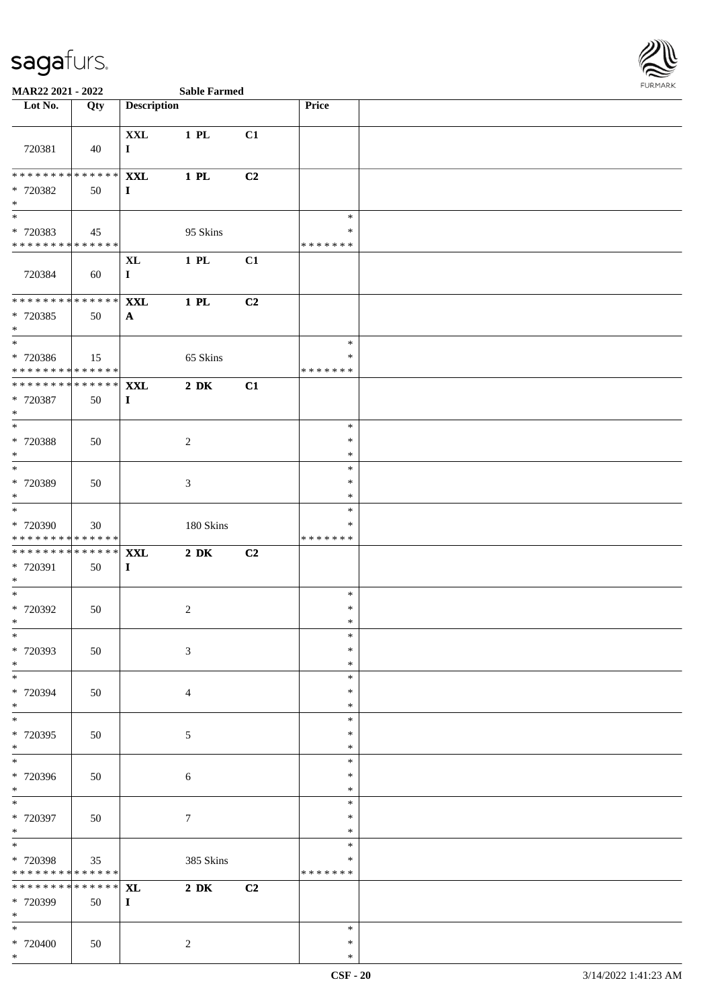\*

 $\overline{\phantom{a}}$ 



| Lot No.                                                          | Qty                   | <b>Description</b>             |                  |    | Price                             |  |
|------------------------------------------------------------------|-----------------------|--------------------------------|------------------|----|-----------------------------------|--|
| 720381                                                           | 40                    | $\mathbf{XXL}$<br>$\mathbf{I}$ | 1 PL             | C1 |                                   |  |
| ******** <mark>******</mark><br>* 720382<br>$\ast$               | 50                    | <b>XXL</b><br>$\bf{I}$         | $1$ PL           | C2 |                                   |  |
| * 720383<br>* * * * * * * * <mark>* * * * * * *</mark>           | 45                    |                                | 95 Skins         |    | $\ast$<br>∗<br>* * * * * * *      |  |
| 720384                                                           | 60                    | $\mathbf{XL}$<br>$\mathbf I$   | $1$ PL           | C1 |                                   |  |
| * * * * * * * * * * * * * * *<br>* 720385<br>$*$                 | 50                    | <b>XXL</b><br>$\mathbf{A}$     | $1$ PL           | C2 |                                   |  |
| $\ast$<br>* 720386<br>* * * * * * * * <mark>* * * * * * *</mark> | 15                    |                                | 65 Skins         |    | $\ast$<br>$\ast$<br>*******       |  |
| * * * * * * * * * * * * * * <mark>*</mark><br>* 720387<br>$*$    | 50                    | <b>XXL</b><br>$\mathbf{I}$     | $2\ \mathrm{DK}$ | C1 |                                   |  |
| $\overline{\ }$<br>* 720388<br>$*$                               | 50                    |                                | $\overline{2}$   |    | $\ast$<br>$\ast$<br>$\ast$        |  |
| * 720389<br>$\ast$                                               | 50                    |                                | $\mathfrak{Z}$   |    | $\ast$<br>$\ast$<br>$\ast$        |  |
| $*$<br>* 720390<br>* * * * * * * * <mark>* * * * * * *</mark>    | 30                    |                                | 180 Skins        |    | $\ast$<br>$\ast$<br>* * * * * * * |  |
| * * * * * * * * <mark>* * * * * * *</mark><br>* 720391<br>$*$    | 50                    | <b>XXL</b><br>$\mathbf{I}$     | $2\ \mathrm{DK}$ | C2 |                                   |  |
| $*$<br>* 720392<br>$\ast$                                        | 50                    |                                | 2                |    | $\ast$<br>$\ast$<br>$\ast$        |  |
| $*$<br>* 720393<br>$\ast$                                        | 50                    |                                | $\mathfrak{Z}$   |    | $\ast$<br>$\ast$<br>$\ast$        |  |
| $*$<br>* 720394<br>$*$                                           | 50                    |                                | $\overline{4}$   |    | $\ast$<br>$\ast$<br>$\ast$        |  |
| * 720395<br>$\ast$                                               | 50                    |                                | 5                |    | $\ast$<br>$\ast$<br>$\ast$        |  |
| $\overline{\ast}$<br>* 720396<br>$\ast$                          | 50                    |                                | 6                |    | $\ast$<br>$\ast$<br>$\ast$        |  |
| $*$<br>* 720397<br>$*$                                           | 50                    |                                | $\tau$           |    | $\ast$<br>$\ast$<br>$\ast$        |  |
| $*$<br>* 720398<br>* * * * * * * * <mark>* * * * * *</mark>      | 35                    |                                | 385 Skins        |    | $\ast$<br>∗<br>*******            |  |
| * * * * * * * *<br>* 720399<br>$*$                               | $* * * * * * *$<br>50 | <b>XL</b><br>$\mathbf{I}$      | $2\ \mathrm{DK}$ | C2 |                                   |  |
| $\ast$<br>* 720400                                               | 50                    |                                | $\overline{c}$   |    | $\ast$<br>$\ast$                  |  |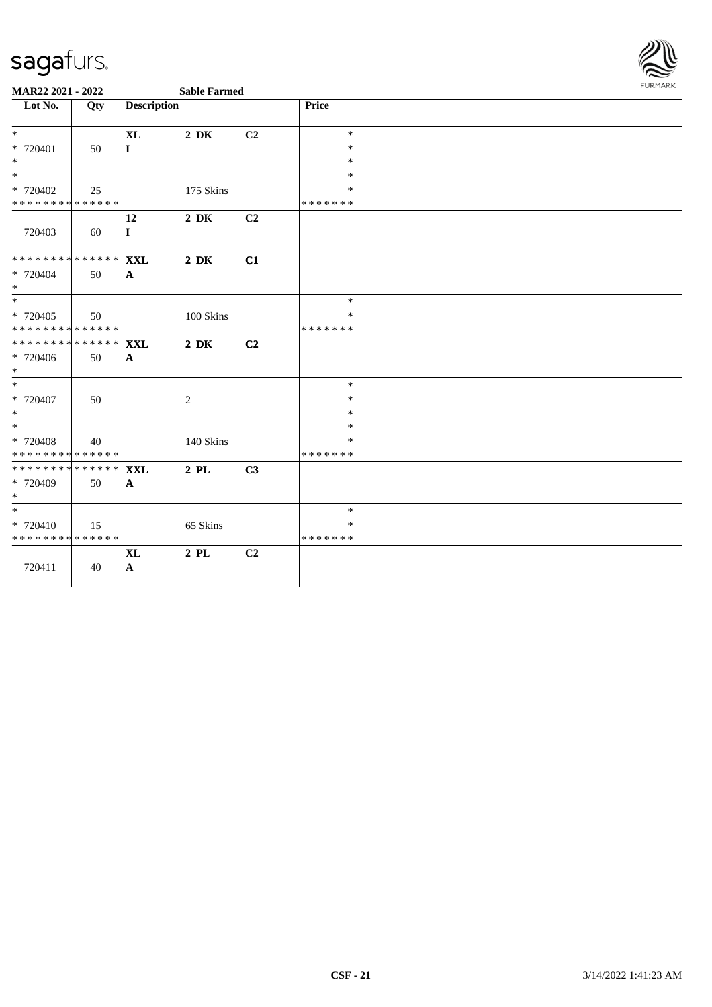

| $\overline{\phantom{1}}$ Lot No.                    | Qty | <b>Description</b>                 |                  |                | Price                             |  |
|-----------------------------------------------------|-----|------------------------------------|------------------|----------------|-----------------------------------|--|
| $*$<br>$* 720401$<br>$\ast$                         | 50  | <b>XL</b><br>$\mathbf I$           | $2\ \mathrm{DK}$ | C <sub>2</sub> | $\ast$<br>$\ast$<br>$\ast$        |  |
| $\ast$<br>* 720402<br>* * * * * * * * * * * * * * * | 25  |                                    | 175 Skins        |                | $\ast$<br>*<br>* * * * * * *      |  |
| 720403                                              | 60  | 12<br>$\mathbf I$                  | $2\,$ DK         | C2             |                                   |  |
| ******** <mark>******</mark><br>* 720404<br>$\ast$  | 50  | <b>XXL</b><br>$\mathbf{A}$         | $2\,$ DK         | C1             |                                   |  |
| $\ast$<br>* 720405<br>**************                | 50  |                                    | 100 Skins        |                | $\ast$<br>$\ast$<br>* * * * * * * |  |
| * * * * * * * * * * * * * *<br>* 720406<br>$\ast$   | 50  | <b>XXL</b><br>$\mathbf{A}$         | $2\ \mathrm{DK}$ | C <sub>2</sub> |                                   |  |
| $\overline{\phantom{a}}$<br>* 720407<br>$\ast$      | 50  |                                    | $\sqrt{2}$       |                | $\ast$<br>$\ast$<br>$\ast$        |  |
| $\ast$<br>* 720408<br>**************                | 40  |                                    | 140 Skins        |                | $\ast$<br>*<br>* * * * * * *      |  |
| **************<br>* 720409<br>$\ast$                | 50  | <b>XXL</b><br>$\mathbf{A}$         | $2$ PL           | C3             |                                   |  |
| $\ast$<br>* 720410<br>* * * * * * * * * * * * * *   | 15  |                                    | 65 Skins         |                | $\ast$<br>*<br>* * * * * * *      |  |
| 720411                                              | 40  | $\bold{X}\bold{L}$<br>$\mathbf{A}$ | $2\,$ PL $\,$    | C2             |                                   |  |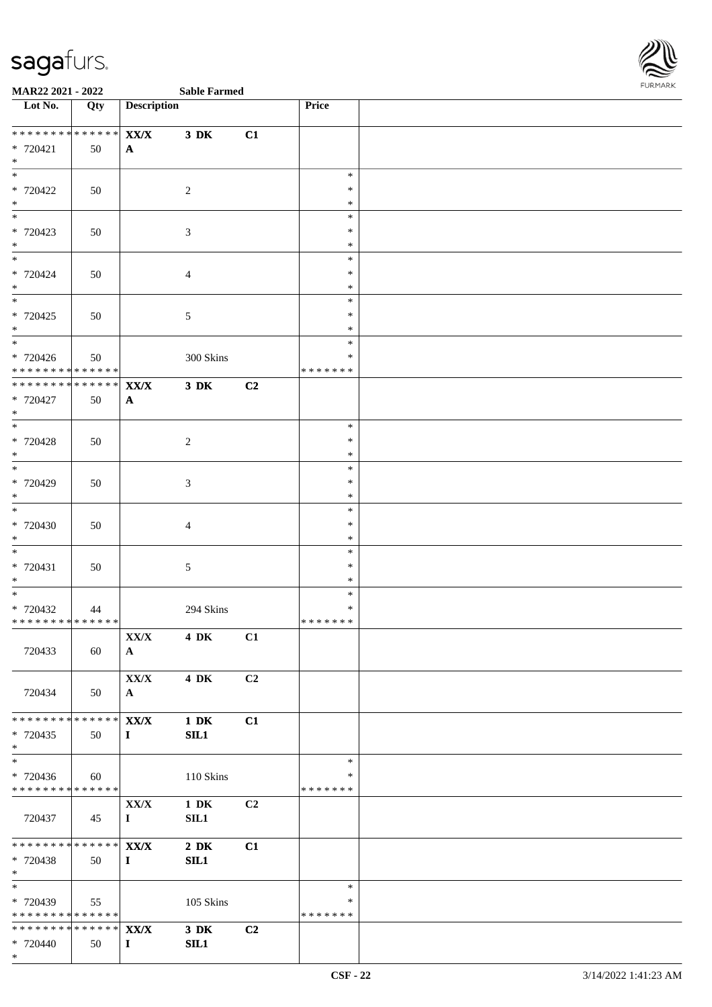

| Lot No.                                        | Qty         | <b>Description</b>       |                  |                | Price            |  |
|------------------------------------------------|-------------|--------------------------|------------------|----------------|------------------|--|
| * * * * * * * *                                | $******$    | $\mathbf{XX}/\mathbf{X}$ | $3\ \mathrm{DK}$ | C1             |                  |  |
| $* 720421$                                     | 50          | $\mathbf{A}$             |                  |                |                  |  |
| $*$<br>$\overline{\ast}$                       |             |                          |                  |                |                  |  |
| * 720422                                       | 50          |                          | 2                |                | $\ast$<br>$\ast$ |  |
| $*$                                            |             |                          |                  |                | $\ast$           |  |
|                                                |             |                          |                  |                | $\ast$           |  |
| * 720423<br>$*$                                | 50          |                          | $\mathfrak{Z}$   |                | $\ast$           |  |
|                                                |             |                          |                  |                | $\ast$<br>$\ast$ |  |
| * 720424                                       | 50          |                          | $\overline{4}$   |                | $\ast$           |  |
| $*$                                            |             |                          |                  |                | $\ast$           |  |
| $\overline{\phantom{0}}$<br>$* 720425$         |             |                          |                  |                | $\ast$<br>$\ast$ |  |
| $*$                                            | 50          |                          | $\sqrt{5}$       |                | $\ast$           |  |
| $\overline{\phantom{0}}$                       |             |                          |                  |                | $\ast$           |  |
| $* 720426$                                     | 50          |                          | 300 Skins        |                | $\ast$           |  |
| * * * * * * * * * * * * * *<br>* * * * * * * * | * * * * * * | ${\bf XX/ X}$            | $3\ \mathrm{DK}$ | C2             | * * * * * * *    |  |
| $* 720427$                                     | 50          | $\mathbf{A}$             |                  |                |                  |  |
| $*$                                            |             |                          |                  |                |                  |  |
| $\overline{\phantom{0}}$                       |             |                          |                  |                | $\ast$           |  |
| * 720428<br>$*$                                | 50          |                          | $\overline{2}$   |                | $\ast$<br>$\ast$ |  |
| $*$                                            |             |                          |                  |                | $\ast$           |  |
| $*720429$                                      | 50          |                          | $\mathfrak{Z}$   |                | $\ast$           |  |
| $*$<br>$\overline{\phantom{0}}$                |             |                          |                  |                | $\ast$<br>$\ast$ |  |
| $* 720430$                                     | 50          |                          | $\overline{4}$   |                | $\ast$           |  |
| $*$                                            |             |                          |                  |                | $\ast$           |  |
| $\overline{\phantom{0}}$                       |             |                          |                  |                | $\ast$           |  |
| $* 720431$<br>$*$                              | 50          |                          | $5\phantom{.0}$  |                | $\ast$<br>$\ast$ |  |
| $*$                                            |             |                          |                  |                | $\ast$           |  |
| $* 720432$                                     | 44          |                          | 294 Skins        |                | $\ast$           |  |
| * * * * * * * * * * * * * * *                  |             |                          |                  |                | * * * * * * *    |  |
| 720433                                         | 60          | XX/X<br>$\mathbf{A}$     | 4 DK C1          |                |                  |  |
|                                                |             |                          |                  |                |                  |  |
|                                                |             | XX/X                     | <b>4 DK</b>      | C <sub>2</sub> |                  |  |
| 720434                                         | 50          | $\mathbf{A}$             |                  |                |                  |  |
| * * * * * * * * * * * * * * *                  |             | XX/X                     | $1\ \mathrm{DK}$ | C1             |                  |  |
| * 720435                                       | 50          | $\mathbf{I}$             | SL1              |                |                  |  |
| $*$                                            |             |                          |                  |                |                  |  |
| $*$<br>* 720436                                |             |                          | 110 Skins        |                | $\ast$<br>∗      |  |
| * * * * * * * * * * * * * *                    | 60          |                          |                  |                | * * * * * * *    |  |
|                                                |             | ${\bf XX/ X}$            | $1\ \mathrm{DK}$ | C2             |                  |  |
| 720437                                         | 45          | $\mathbf{I}$             | SIL1             |                |                  |  |
| ******** <mark>******</mark>                   |             | XX/X                     | $2\ \mathrm{DK}$ | C1             |                  |  |
| * 720438                                       | 50          | $\mathbf{I}$             | SL1              |                |                  |  |
| $*$ $*$                                        |             |                          |                  |                |                  |  |
| $*$                                            |             |                          |                  |                | $\ast$<br>*      |  |
| * 720439<br>* * * * * * * * * * * * * *        | 55          |                          | 105 Skins        |                | * * * * * * *    |  |
| ************** <b>XX/X</b>                     |             |                          | $3\,$ DK         | C <sub>2</sub> |                  |  |
| * 720440                                       | 50          | $\bf{I}$                 | SIL1             |                |                  |  |
| $*$                                            |             |                          |                  |                |                  |  |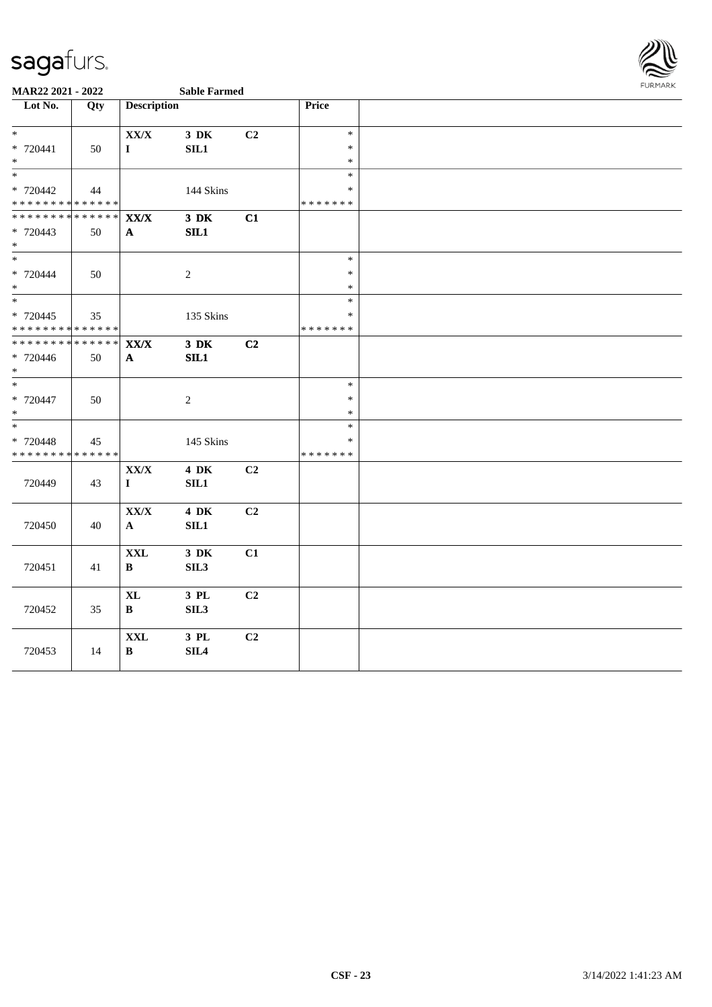

| Lot No.                            | Qty | <b>Description</b>       |                  |                | Price            |  |
|------------------------------------|-----|--------------------------|------------------|----------------|------------------|--|
|                                    |     |                          |                  |                |                  |  |
| $\ast$                             |     | XX/X                     | 3 DK             | C2             | $\ast$           |  |
| * 720441                           | 50  | $\mathbf I$              | SIL1             |                | $\ast$           |  |
| $\ast$<br>$\ast$                   |     |                          |                  |                | $\ast$           |  |
|                                    |     |                          |                  |                | $\ast$           |  |
| * 720442                           | 44  |                          | 144 Skins        |                | $\ast$           |  |
| * * * * * * * * * * * * * *        |     |                          |                  |                | * * * * * * *    |  |
| **************                     |     | $\mathbf{XX}/\mathbf{X}$ | 3 DK             | C1             |                  |  |
| * 720443                           | 50  | $\mathbf{A}$             | SIL1             |                |                  |  |
| $*$<br>$\overline{\phantom{a}^*}$  |     |                          |                  |                |                  |  |
|                                    |     |                          |                  |                | $\ast$           |  |
| * 720444                           | 50  |                          | $\overline{2}$   |                | $\ast$           |  |
| $\ast$<br>$\frac{1}{*}$            |     |                          |                  |                | $\ast$<br>$\ast$ |  |
|                                    |     |                          |                  |                |                  |  |
| * 720445                           | 35  |                          | 135 Skins        |                | $\ast$           |  |
| **************                     |     |                          |                  |                | * * * * * * *    |  |
| **************                     |     | $\mathbf{XX}/\mathbf{X}$ | $3$ DK           | C2             |                  |  |
| * 720446                           | 50  | $\mathbf{A}$             | SIL1             |                |                  |  |
| $\ast$<br>$\overline{\phantom{0}}$ |     |                          |                  |                |                  |  |
|                                    |     |                          |                  |                | $\ast$           |  |
| * 720447                           | 50  |                          | $\overline{2}$   |                | $\ast$           |  |
| $\ast$<br>$\ast$                   |     |                          |                  |                | $\ast$<br>$\ast$ |  |
|                                    |     |                          |                  |                |                  |  |
| * 720448                           | 45  |                          | 145 Skins        |                | *                |  |
| **************                     |     |                          |                  |                | * * * * * * *    |  |
|                                    |     | ${\bf XX/ X}$            | <b>4 DK</b>      | C <sub>2</sub> |                  |  |
| 720449                             | 43  | $\mathbf{I}$             | SIL1             |                |                  |  |
|                                    |     |                          |                  |                |                  |  |
|                                    |     | ${\bf XX/ X}$            | <b>4 DK</b>      | C2             |                  |  |
| 720450                             | 40  | ${\bf A}$                | SIL1             |                |                  |  |
|                                    |     |                          |                  |                |                  |  |
|                                    |     | <b>XXL</b>               | 3 DK             | C1             |                  |  |
| 720451                             | 41  | $\bf{B}$                 | SIL <sub>3</sub> |                |                  |  |
|                                    |     |                          |                  |                |                  |  |
|                                    |     | $\mathbf{XL}$            | 3 PL             | C2             |                  |  |
| 720452                             | 35  | $\mathbf{B}$             | SIL <sub>3</sub> |                |                  |  |
|                                    |     |                          |                  |                |                  |  |
|                                    |     | $\mathbf{XXL}$           | 3 PL             | C2             |                  |  |
| 720453                             | 14  | B                        | SLL4             |                |                  |  |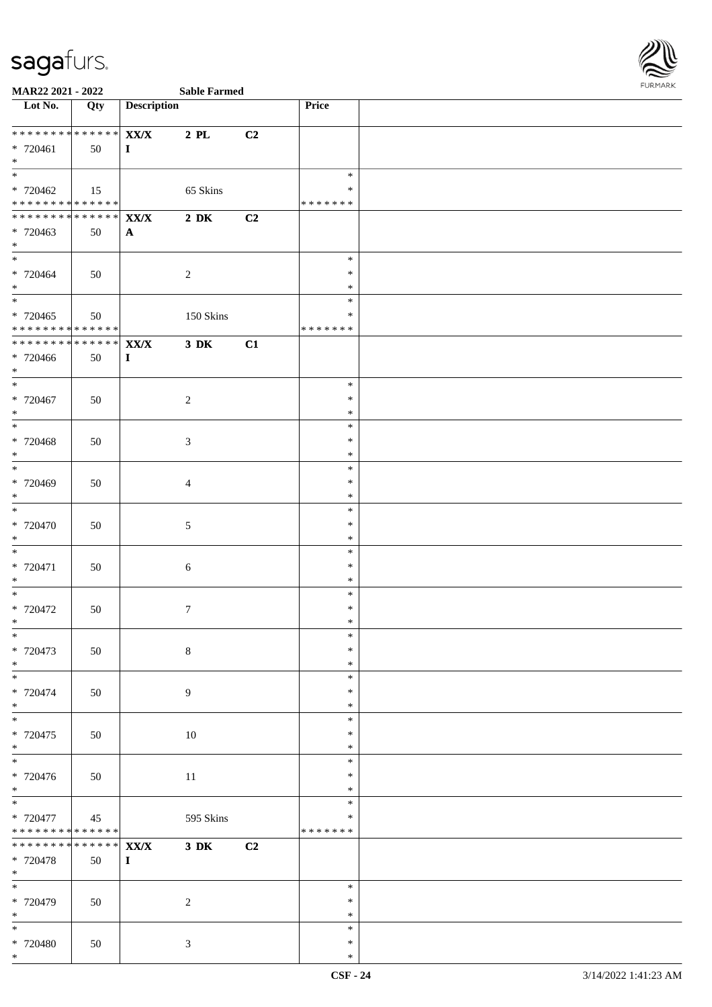

| <b>Sable Fa</b> |  |
|-----------------|--|

| Lot No.                                                                   | Qty           | <b>Description</b>   |                  |    | <b>Price</b>     |  |
|---------------------------------------------------------------------------|---------------|----------------------|------------------|----|------------------|--|
| * * * * * * * * * * * * * * *                                             |               |                      |                  |    |                  |  |
| * 720461                                                                  | 50            | XX/X<br>$\mathbf{I}$ | $2$ PL           | C2 |                  |  |
| $*$                                                                       |               |                      |                  |    |                  |  |
| $\overline{\ast}$                                                         |               |                      |                  |    | $\ast$           |  |
| * 720462                                                                  | 15            |                      | 65 Skins         |    | $\ast$           |  |
| * * * * * * * * <mark>* * * * * * *</mark><br>*************** <b>XX/X</b> |               |                      | $2\ \mathrm{DK}$ | C2 | * * * * * * *    |  |
| $* 720463$                                                                | 50            | $\mathbf{A}$         |                  |    |                  |  |
| $*$                                                                       |               |                      |                  |    |                  |  |
| $*$                                                                       |               |                      |                  |    | $\ast$           |  |
| * 720464<br>$*$                                                           | 50            |                      | 2                |    | $\ast$<br>$\ast$ |  |
|                                                                           |               |                      |                  |    | $\ast$           |  |
| $*720465$                                                                 | 50            |                      | 150 Skins        |    | $\ast$           |  |
| * * * * * * * * <mark>* * * * * * *</mark>                                |               |                      |                  |    | * * * * * * *    |  |
| *************** XX/X                                                      |               |                      | $3\,$ DK         | C1 |                  |  |
| * 720466<br>$*$                                                           | 50            | $\bf{I}$             |                  |    |                  |  |
| $*$                                                                       |               |                      |                  |    | $\ast$           |  |
| * 720467                                                                  | 50            |                      | $\overline{2}$   |    | $\ast$           |  |
| $*$                                                                       |               |                      |                  |    | $\ast$           |  |
| $* 720468$                                                                | 50            |                      | $\mathfrak{Z}$   |    | $\ast$<br>$\ast$ |  |
| $*$                                                                       |               |                      |                  |    | $\ast$           |  |
|                                                                           |               |                      |                  |    | $\ast$           |  |
| * 720469                                                                  | 50            |                      | $\overline{4}$   |    | $\ast$           |  |
| $*$<br>$\overline{\phantom{0}}$                                           |               |                      |                  |    | $\ast$<br>$\ast$ |  |
| * 720470                                                                  | 50            |                      | $\sqrt{5}$       |    | $\ast$           |  |
| $*$                                                                       |               |                      |                  |    | $\ast$           |  |
| $*$                                                                       |               |                      |                  |    | $\ast$           |  |
| * 720471<br>$*$                                                           | 50            |                      | $6\,$            |    | $\ast$<br>$\ast$ |  |
|                                                                           |               |                      |                  |    | $\ast$           |  |
| $* 720472$                                                                | 50            |                      | $7\phantom{.0}$  |    | $\ast$           |  |
| $*$                                                                       |               |                      |                  |    | $\ast$           |  |
| * 720473                                                                  | 50            |                      |                  |    | ∗<br>$\ast$      |  |
| $*$                                                                       |               |                      | $\,8\,$          |    | $\ast$           |  |
| $\overline{\phantom{0}}$                                                  |               |                      |                  |    | $\ast$           |  |
| * 720474                                                                  | 50            |                      | $\overline{9}$   |    | $\ast$           |  |
| $*$<br>$\overline{\ast}$                                                  |               |                      |                  |    | $\ast$<br>$\ast$ |  |
| * 720475                                                                  | 50            |                      | 10               |    | $\ast$           |  |
| $*$                                                                       |               |                      |                  |    | $\ast$           |  |
|                                                                           |               |                      |                  |    | $\ast$           |  |
| * 720476<br>$*$                                                           | 50            |                      | 11               |    | $\ast$<br>$\ast$ |  |
| $*$                                                                       |               |                      |                  |    | $\ast$           |  |
| * 720477                                                                  | 45            |                      | 595 Skins        |    | ∗                |  |
| * * * * * * * * <mark>* * * * * * *</mark>                                |               |                      |                  |    | * * * * * * *    |  |
| * * * * * * * *                                                           | * * * * * * * | XX/X                 | $3\,$ DK         | C2 |                  |  |
| * 720478<br>$*$                                                           | 50            | $\mathbf{I}$         |                  |    |                  |  |
|                                                                           |               |                      |                  |    | $\ast$           |  |
| * 720479                                                                  | 50            |                      | $\overline{c}$   |    | $\ast$           |  |
| $*$                                                                       |               |                      |                  |    | $\ast$           |  |
| $*$<br>* 720480                                                           |               |                      | $\mathfrak{Z}$   |    | $\ast$<br>$\ast$ |  |
| $*$                                                                       | 50            |                      |                  |    | $\ast$           |  |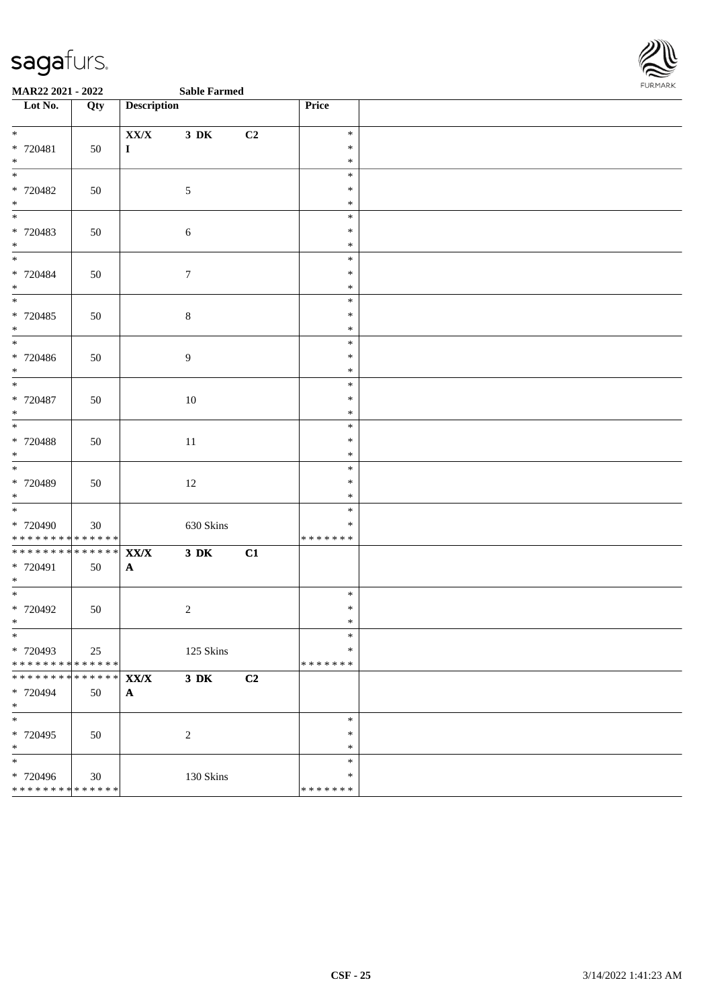

| Lot No.                                                                 | Qty               | <b>Description</b>                    |                  |    | Price                             |  |
|-------------------------------------------------------------------------|-------------------|---------------------------------------|------------------|----|-----------------------------------|--|
| $*$<br>* 720481<br>$\ast$                                               | 50                | XX/X<br>$\mathbf{I}$                  | 3 DK             | C2 | $\ast$<br>$\ast$<br>$\ast$        |  |
| $\overline{\phantom{0}}$<br>* 720482<br>$*$                             | 50                |                                       | $\mathfrak{S}$   |    | $\ast$<br>$\ast$<br>$\ast$        |  |
| * 720483<br>$*$                                                         | 50                |                                       | 6                |    | $\ast$<br>$\ast$<br>$\ast$        |  |
| * 720484<br>$*$<br>$\overline{\phantom{0}}$                             | 50                |                                       | $\boldsymbol{7}$ |    | $\ast$<br>$\ast$<br>$\ast$        |  |
| $* 720485$<br>$*$                                                       | 50                |                                       | $\,8\,$          |    | $\ast$<br>$\ast$<br>$\ast$        |  |
| $\ast$<br>* 720486<br>$*$<br>$\frac{1}{*}$                              | 50                |                                       | $\boldsymbol{9}$ |    | $\ast$<br>$\ast$<br>$\ast$        |  |
| $* 720487$<br>$*$                                                       | 50                |                                       | 10               |    | $\ast$<br>$\ast$<br>$\ast$        |  |
| $\overline{\phantom{0}}$<br>$* 720488$<br>$\ast$                        | 50                |                                       | 11               |    | $\ast$<br>$\ast$<br>$\ast$        |  |
| $*$<br>* 720489<br>$*$                                                  | 50                |                                       | 12               |    | $\ast$<br>$\ast$<br>$\ast$        |  |
| $\overline{\phantom{0}}$<br>$* 720490$<br>* * * * * * * * * * * * * * * | 30                |                                       | 630 Skins        |    | $\ast$<br>∗<br>* * * * * * *      |  |
| * * * * * * * * * * * * * * *<br>* 720491<br>$*$                        | 50                | $\mathbf{XX}/\mathbf{X}$<br>${\bf A}$ | $3\ \mathrm{DK}$ | C1 |                                   |  |
| $*$<br>$* 720492$<br>$*$                                                | 50                |                                       | $\sqrt{2}$       |    | $\ast$<br>$\ast$<br>$\ast$        |  |
| $*$<br>* 720493<br>* * * * * * * * * * * * * * *                        | 25                |                                       | 125 Skins        |    | $\ast$<br>$\ast$<br>* * * * * * * |  |
| * * * * * * * *<br>* 720494<br>$\ast$                                   | * * * * * *<br>50 | $\mathbf{XX}/\mathbf{X}$<br>${\bf A}$ | $3\,$ DK         | C2 |                                   |  |
| $\ast$<br>$* 720495$<br>$*$                                             | 50                |                                       | $\sqrt{2}$       |    | $\ast$<br>$\ast$<br>$\ast$        |  |
| $\ast$<br>* 720496<br>* * * * * * * * * * * * * *                       | $30\,$            |                                       | 130 Skins        |    | $\ast$<br>$\ast$<br>* * * * * * * |  |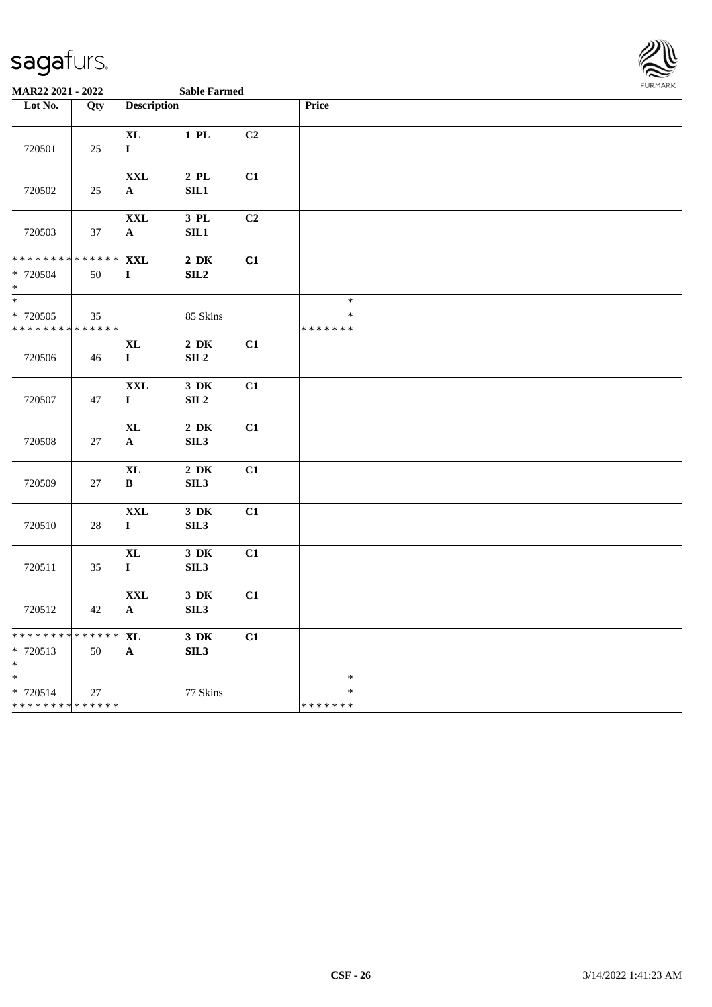

| Lot No.                                           | Qty               | <b>Description</b>                |                              |    | Price                             |  |
|---------------------------------------------------|-------------------|-----------------------------------|------------------------------|----|-----------------------------------|--|
| 720501                                            | 25                | $\mathbf{XL}$<br>$\mathbf I$      | $1$ PL                       | C2 |                                   |  |
| 720502                                            | 25                | $\mathbf{XXL}$<br>$\mathbf A$     | $2$ PL<br>SL1                | C1 |                                   |  |
| 720503                                            | 37                | $\mathbf{XXL}$<br>$\mathbf A$     | 3 PL<br>$\rm SIL1$           | C2 |                                   |  |
| * * * * * * * *<br>$* 720504$<br>$\ast$           | * * * * * *<br>50 | <b>XXL</b><br>$\mathbf I$         | $2\,$ DK<br>SL2              | C1 |                                   |  |
| $\ast$<br>* 720505<br>* * * * * * * * * * * * * * | 35                |                                   | 85 Skins                     |    | $\ast$<br>$\ast$<br>* * * * * * * |  |
| 720506                                            | 46                | $\bold{X}\bold{L}$<br>$\mathbf I$ | $2\,$ DK<br>SLL2             | C1 |                                   |  |
| 720507                                            | $47\,$            | <b>XXL</b><br>$\mathbf I$         | $3\,$ DK<br>SLL2             | C1 |                                   |  |
| 720508                                            | 27                | <b>XL</b><br>$\mathbf A$          | $2\,$ DK<br>SIL <sub>3</sub> | C1 |                                   |  |
| 720509                                            | $27\,$            | $\mathbf{XL}$<br>$\, {\bf B}$     | $2\,$ DK<br>SIL <sub>3</sub> | C1 |                                   |  |
| 720510                                            | $28\,$            | $\mathbf{XXL}$<br>$\mathbf I$     | $3\,$ DK<br>SIL3             | C1 |                                   |  |
| 720511                                            | 35                | $\mathbf{XL}$<br>$\mathbf{I}$     | $3\,$ DK<br>SL3              | C1 |                                   |  |
| 720512                                            | 42                | $\mathbf{XXL}$<br>$\mathbf{A}$    | $3\,$ DK<br>SL3              | C1 |                                   |  |
| * * * * * * * *<br>* 720513<br>$*$                | * * * * * *<br>50 | <b>XL</b><br>$\mathbf{A}$         | $3\,$ DK<br>SL3              | C1 |                                   |  |
| $\ast$<br>* 720514<br>* * * * * * * * * * * * * * | 27                |                                   | 77 Skins                     |    | $\ast$<br>$\ast$<br>* * * * * * * |  |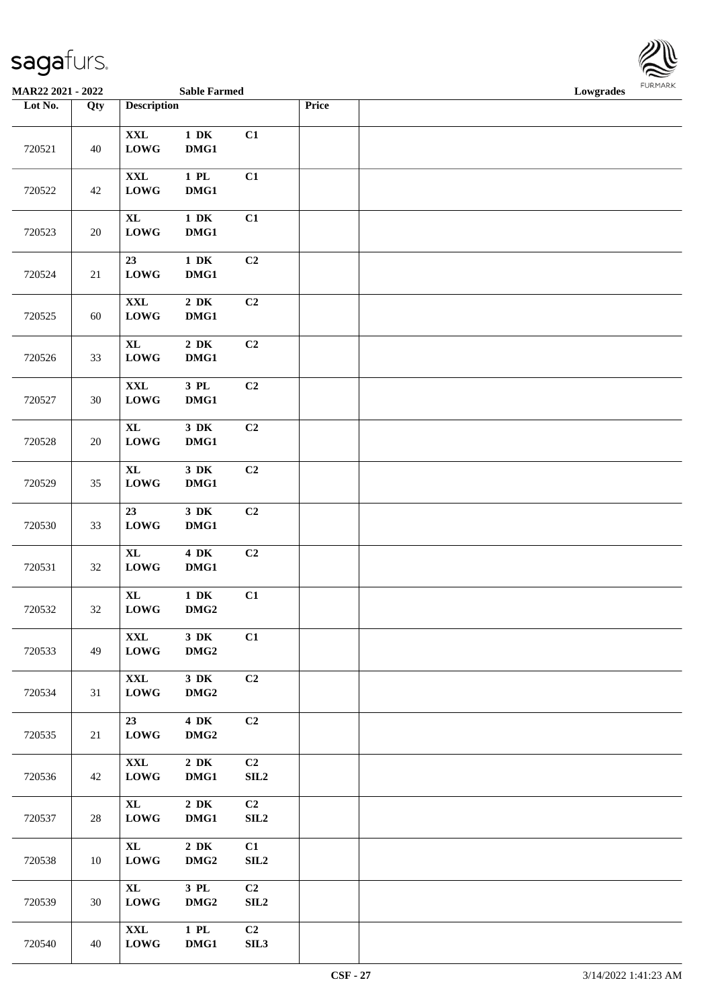| <b>MAR22 2021 - 2022</b> |        |                                   | <b>Sable Farmed</b>                  |                |       | Lowgrades | FURMARK |
|--------------------------|--------|-----------------------------------|--------------------------------------|----------------|-------|-----------|---------|
| Lot No.                  | Qty    | <b>Description</b>                |                                      |                | Price |           |         |
| 720521                   | 40     | $\mathbf{XXL}$<br><b>LOWG</b>     | $1\,$ DK<br>DMG1                     | C1             |       |           |         |
| 720522                   | 42     | $\mathbf{XXL}$<br><b>LOWG</b>     | $1$ PL<br>DMG1                       | C1             |       |           |         |
| 720523                   | $20\,$ | <b>XL</b><br><b>LOWG</b>          | $1\,$ DK<br>DMG1                     | C1             |       |           |         |
| 720524                   | 21     | 23<br><b>LOWG</b>                 | $1\,$ DK<br>$DMG1$                   | C2             |       |           |         |
| 720525                   | 60     | $\mathbf{XXL}$<br><b>LOWG</b>     | $2\,$ DK<br>DMG1                     | C2             |       |           |         |
| 720526                   | 33     | <b>XL</b><br><b>LOWG</b>          | $2\,$ DK<br>DMG1                     | C2             |       |           |         |
| 720527                   | 30     | $\mathbf{XXL}$<br><b>LOWG</b>     | 3 PL<br>DMG1                         | C <sub>2</sub> |       |           |         |
| 720528                   | $20\,$ | $\bold{X}\bold{L}$<br><b>LOWG</b> | $3\,$ DK<br>DMG1                     | C <sub>2</sub> |       |           |         |
| 720529                   | 35     | <b>XL</b><br><b>LOWG</b>          | $3\,$ DK<br>DMG1                     | C2             |       |           |         |
| 720530                   | 33     | 23<br><b>LOWG</b>                 | $3\,$ DK<br>DMG1                     | C <sub>2</sub> |       |           |         |
| 720531                   | 32     | <b>XL</b><br><b>LOWG</b>          | 4 DK<br>DMG1                         | C <sub>2</sub> |       |           |         |
| 720532                   | $32\,$ | $\bold{X}\bold{L}$<br><b>LOWG</b> | $1\,$ DK<br>DMG <sub>2</sub>         | C1             |       |           |         |
| 720533                   | 49     | XXL<br>${\bf LOWG}$               | 3 DK<br>DMG <sub>2</sub>             | C1             |       |           |         |
| 720534                   | 31     | $\mathbf{XXL}$<br><b>LOWG</b>     | 3 DK<br>DMG <sub>2</sub>             | C2             |       |           |         |
| 720535                   | 21     | 23<br><b>LOWG</b>                 | <b>4 DK</b><br>DMG <sub>2</sub>      | C2             |       |           |         |
| 720536                   | 42     | $\mathbf{XXL}$<br><b>LOWG</b>     | $2\;\mathrm{DK}$<br>DMG1             | C2<br>SLL2     |       |           |         |
| 720537                   | 28     | $\bold{X}\bold{L}$<br><b>LOWG</b> | $2\,$ DK<br>DMG1                     | C2<br>SLL2     |       |           |         |
| 720538                   | 10     | $\bold{X}\bold{L}$<br><b>LOWG</b> | $2\;\mathrm{DK}$<br>DMG <sub>2</sub> | C1<br>SL2      |       |           |         |
| 720539                   | 30     | $\bold{X}\bold{L}$<br><b>LOWG</b> | 3 PL<br>DMG <sub>2</sub>             | C2<br>SL2      |       |           |         |
| 720540                   | 40     | $\mathbf{XXL}$<br><b>LOWG</b>     | $1\,$ PL $\,$<br>DMG1                | C2<br>SL13     |       |           |         |

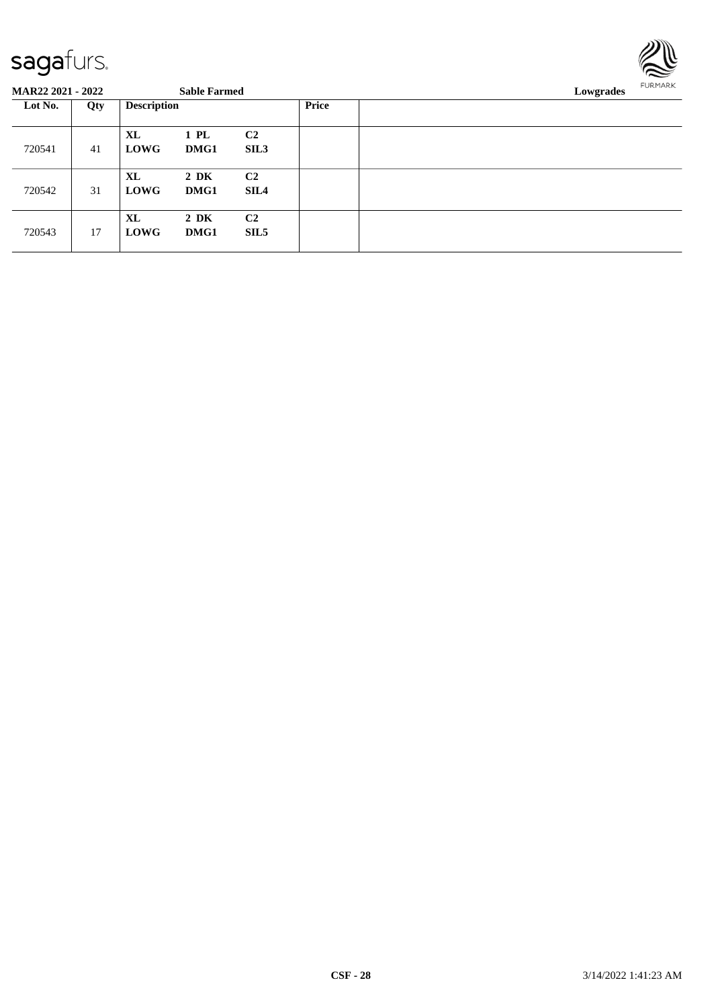

| Lot No. | Qty | <b>Description</b>                |                  |                                    | Price |  |
|---------|-----|-----------------------------------|------------------|------------------------------------|-------|--|
| 720541  | 41  | $\bold{X}\bold{L}$<br><b>LOWG</b> | 1 PL<br>DMG1     | C <sub>2</sub><br>SIL <sub>3</sub> |       |  |
| 720542  | 31  | $\bold{X}\bold{L}$<br><b>LOWG</b> | $2\,$ DK<br>DMG1 | C <sub>2</sub><br>SIL4             |       |  |
| 720543  | 17  | $\bold{X}\bold{L}$<br><b>LOWG</b> | $2\,$ DK<br>DMG1 | C <sub>2</sub><br>SIL <sub>5</sub> |       |  |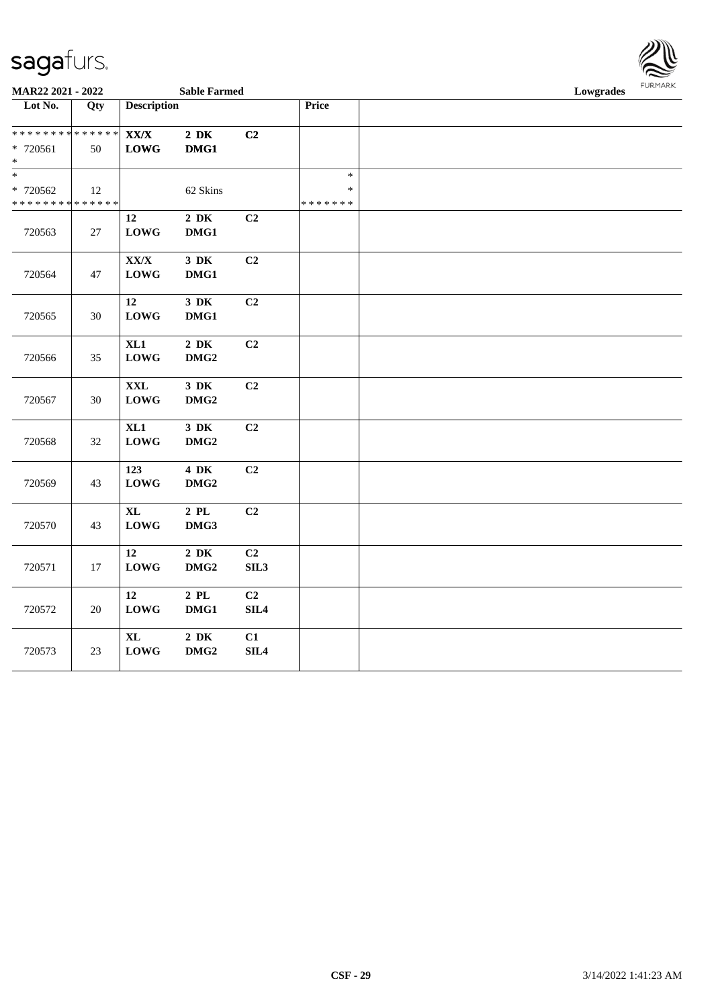| MAR22 2021 - 2022                                    |                   |                                   | <b>Sable Farmed</b>          |                        |                                   | Lowgrades |  |  |
|------------------------------------------------------|-------------------|-----------------------------------|------------------------------|------------------------|-----------------------------------|-----------|--|--|
| Lot No.                                              | Qty               | <b>Description</b>                |                              |                        | Price                             |           |  |  |
| * * * * * * * * <mark>*</mark><br>* 720561<br>$\ast$ | * * * * * *<br>50 | ${\bf XX/ X}$<br><b>LOWG</b>      | $2\ \mathrm{DK}$<br>DMG1     | C2                     |                                   |           |  |  |
| $\ast$<br>* 720562<br>* * * * * * * * <mark>*</mark> | 12<br>* * * * * * |                                   | 62 Skins                     |                        | $\ast$<br>$\ast$<br>* * * * * * * |           |  |  |
| 720563                                               | 27                | 12<br><b>LOWG</b>                 | $2\,$ DK<br>DMG1             | C2                     |                                   |           |  |  |
| 720564                                               | 47                | ${\bf XX/X}$<br><b>LOWG</b>       | $3\,$ DK<br>DMG1             | C2                     |                                   |           |  |  |
| 720565                                               | 30                | $12\,$<br><b>LOWG</b>             | $3\,$ DK<br>DMG1             | C2                     |                                   |           |  |  |
| 720566                                               | 35                | XL1<br><b>LOWG</b>                | $2\,$ DK<br>DMG <sub>2</sub> | C2                     |                                   |           |  |  |
| 720567                                               | $30\,$            | <b>XXL</b><br><b>LOWG</b>         | $3\,$ DK<br>DMG <sub>2</sub> | C2                     |                                   |           |  |  |
| 720568                                               | 32                | XL1<br><b>LOWG</b>                | $3\,$ DK<br>DMG <sub>2</sub> | C2                     |                                   |           |  |  |
| 720569                                               | 43                | 123<br><b>LOWG</b>                | 4 DK<br>DMG <sub>2</sub>     | C2                     |                                   |           |  |  |
| 720570                                               | 43                | $\bold{X}\bold{L}$<br><b>LOWG</b> | $2$ PL<br>DMG3               | C2                     |                                   |           |  |  |
| 720571                                               | 17                | 12<br><b>LOWG</b>                 | $2\,$ DK<br>$DMG2$           | C <sub>2</sub><br>SIL3 |                                   |           |  |  |
| 720572                                               | $20\,$            | 12<br><b>LOWG</b>                 | $2\,$ PL $\,$<br>DMG1        | C2<br>SIL4             |                                   |           |  |  |
| 720573                                               | 23                | $\bold{X}\bold{L}$<br><b>LOWG</b> | $2\,$ DK<br>DMG <sub>2</sub> | C1<br>SIL <sub>4</sub> |                                   |           |  |  |